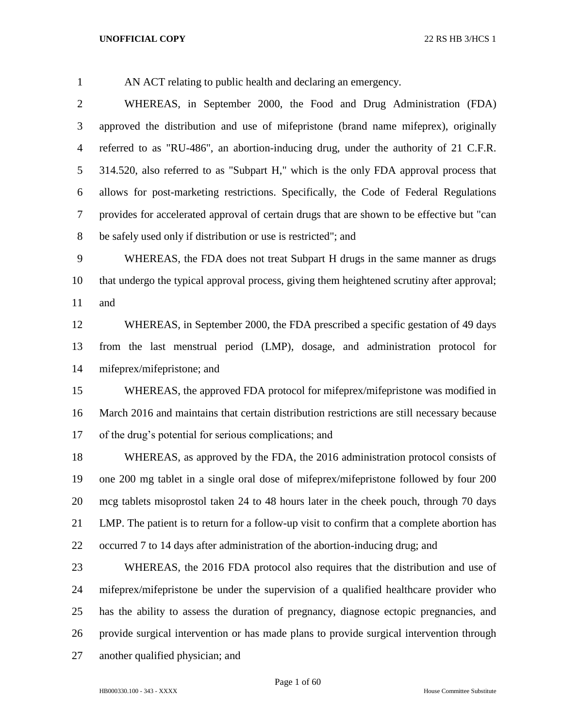AN ACT relating to public health and declaring an emergency.

 WHEREAS, in September 2000, the Food and Drug Administration (FDA) approved the distribution and use of mifepristone (brand name mifeprex), originally referred to as "RU-486", an abortion-inducing drug, under the authority of 21 C.F.R. 314.520, also referred to as "Subpart H," which is the only FDA approval process that allows for post-marketing restrictions. Specifically, the Code of Federal Regulations provides for accelerated approval of certain drugs that are shown to be effective but "can be safely used only if distribution or use is restricted"; and

 WHEREAS, the FDA does not treat Subpart H drugs in the same manner as drugs that undergo the typical approval process, giving them heightened scrutiny after approval; and

 WHEREAS, in September 2000, the FDA prescribed a specific gestation of 49 days from the last menstrual period (LMP), dosage, and administration protocol for mifeprex/mifepristone; and

 WHEREAS, the approved FDA protocol for mifeprex/mifepristone was modified in March 2016 and maintains that certain distribution restrictions are still necessary because of the drug's potential for serious complications; and

 WHEREAS, as approved by the FDA, the 2016 administration protocol consists of one 200 mg tablet in a single oral dose of mifeprex/mifepristone followed by four 200 mcg tablets misoprostol taken 24 to 48 hours later in the cheek pouch, through 70 days LMP. The patient is to return for a follow-up visit to confirm that a complete abortion has occurred 7 to 14 days after administration of the abortion-inducing drug; and

 WHEREAS, the 2016 FDA protocol also requires that the distribution and use of mifeprex/mifepristone be under the supervision of a qualified healthcare provider who has the ability to assess the duration of pregnancy, diagnose ectopic pregnancies, and provide surgical intervention or has made plans to provide surgical intervention through another qualified physician; and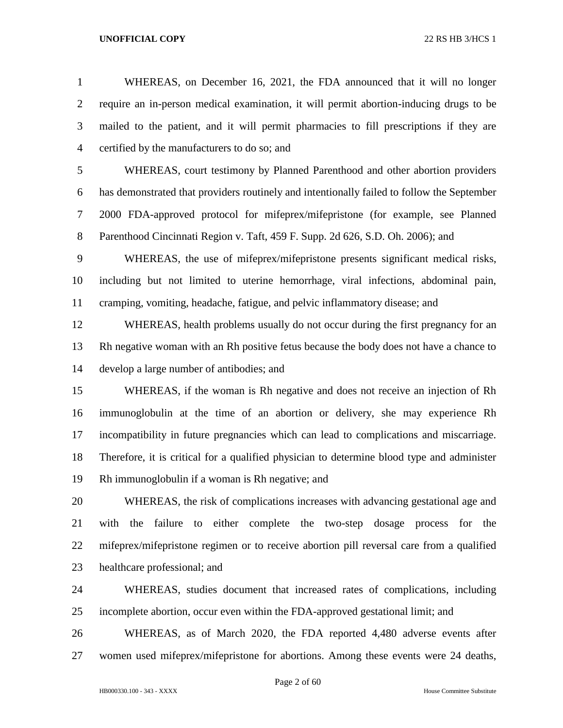WHEREAS, on December 16, 2021, the FDA announced that it will no longer require an in-person medical examination, it will permit abortion-inducing drugs to be mailed to the patient, and it will permit pharmacies to fill prescriptions if they are certified by the manufacturers to do so; and

 WHEREAS, court testimony by Planned Parenthood and other abortion providers has demonstrated that providers routinely and intentionally failed to follow the September 2000 FDA-approved protocol for mifeprex/mifepristone (for example, see Planned Parenthood Cincinnati Region v. Taft, 459 F. Supp. 2d 626, S.D. Oh. 2006); and

 WHEREAS, the use of mifeprex/mifepristone presents significant medical risks, including but not limited to uterine hemorrhage, viral infections, abdominal pain, cramping, vomiting, headache, fatigue, and pelvic inflammatory disease; and

 WHEREAS, health problems usually do not occur during the first pregnancy for an Rh negative woman with an Rh positive fetus because the body does not have a chance to develop a large number of antibodies; and

 WHEREAS, if the woman is Rh negative and does not receive an injection of Rh immunoglobulin at the time of an abortion or delivery, she may experience Rh incompatibility in future pregnancies which can lead to complications and miscarriage. Therefore, it is critical for a qualified physician to determine blood type and administer Rh immunoglobulin if a woman is Rh negative; and

 WHEREAS, the risk of complications increases with advancing gestational age and with the failure to either complete the two-step dosage process for the mifeprex/mifepristone regimen or to receive abortion pill reversal care from a qualified healthcare professional; and

 WHEREAS, studies document that increased rates of complications, including incomplete abortion, occur even within the FDA-approved gestational limit; and

 WHEREAS, as of March 2020, the FDA reported 4,480 adverse events after women used mifeprex/mifepristone for abortions. Among these events were 24 deaths,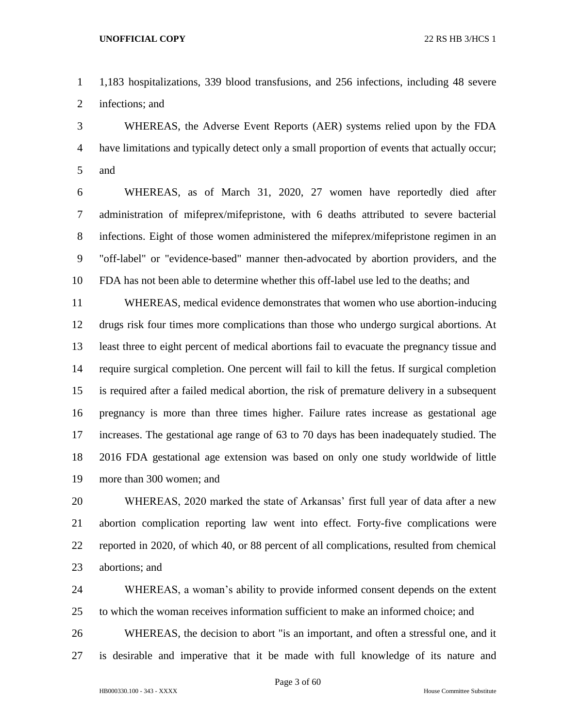1,183 hospitalizations, 339 blood transfusions, and 256 infections, including 48 severe infections; and

 WHEREAS, the Adverse Event Reports (AER) systems relied upon by the FDA have limitations and typically detect only a small proportion of events that actually occur; and

 WHEREAS, as of March 31, 2020, 27 women have reportedly died after administration of mifeprex/mifepristone, with 6 deaths attributed to severe bacterial infections. Eight of those women administered the mifeprex/mifepristone regimen in an "off-label" or "evidence-based" manner then-advocated by abortion providers, and the FDA has not been able to determine whether this off-label use led to the deaths; and

 WHEREAS, medical evidence demonstrates that women who use abortion-inducing drugs risk four times more complications than those who undergo surgical abortions. At least three to eight percent of medical abortions fail to evacuate the pregnancy tissue and require surgical completion. One percent will fail to kill the fetus. If surgical completion is required after a failed medical abortion, the risk of premature delivery in a subsequent pregnancy is more than three times higher. Failure rates increase as gestational age increases. The gestational age range of 63 to 70 days has been inadequately studied. The 2016 FDA gestational age extension was based on only one study worldwide of little more than 300 women; and

 WHEREAS, 2020 marked the state of Arkansas' first full year of data after a new abortion complication reporting law went into effect. Forty-five complications were reported in 2020, of which 40, or 88 percent of all complications, resulted from chemical abortions; and

 WHEREAS, a woman's ability to provide informed consent depends on the extent to which the woman receives information sufficient to make an informed choice; and

 WHEREAS, the decision to abort "is an important, and often a stressful one, and it is desirable and imperative that it be made with full knowledge of its nature and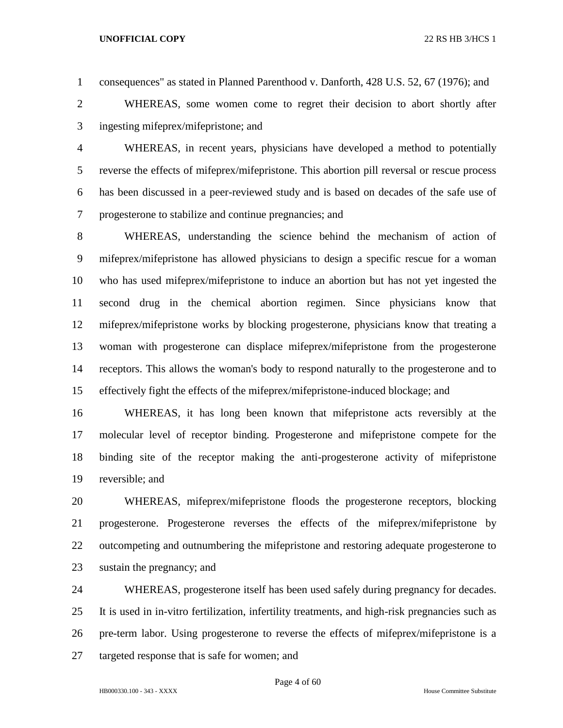consequences" as stated in Planned Parenthood v. Danforth, 428 U.S. 52, 67 (1976); and

 WHEREAS, some women come to regret their decision to abort shortly after ingesting mifeprex/mifepristone; and

 WHEREAS, in recent years, physicians have developed a method to potentially reverse the effects of mifeprex/mifepristone. This abortion pill reversal or rescue process has been discussed in a peer-reviewed study and is based on decades of the safe use of progesterone to stabilize and continue pregnancies; and

 WHEREAS, understanding the science behind the mechanism of action of mifeprex/mifepristone has allowed physicians to design a specific rescue for a woman who has used mifeprex/mifepristone to induce an abortion but has not yet ingested the second drug in the chemical abortion regimen. Since physicians know that mifeprex/mifepristone works by blocking progesterone, physicians know that treating a woman with progesterone can displace mifeprex/mifepristone from the progesterone receptors. This allows the woman's body to respond naturally to the progesterone and to effectively fight the effects of the mifeprex/mifepristone-induced blockage; and

 WHEREAS, it has long been known that mifepristone acts reversibly at the molecular level of receptor binding. Progesterone and mifepristone compete for the binding site of the receptor making the anti-progesterone activity of mifepristone reversible; and

 WHEREAS, mifeprex/mifepristone floods the progesterone receptors, blocking progesterone. Progesterone reverses the effects of the mifeprex/mifepristone by outcompeting and outnumbering the mifepristone and restoring adequate progesterone to sustain the pregnancy; and

 WHEREAS, progesterone itself has been used safely during pregnancy for decades. It is used in in-vitro fertilization, infertility treatments, and high-risk pregnancies such as pre-term labor. Using progesterone to reverse the effects of mifeprex/mifepristone is a targeted response that is safe for women; and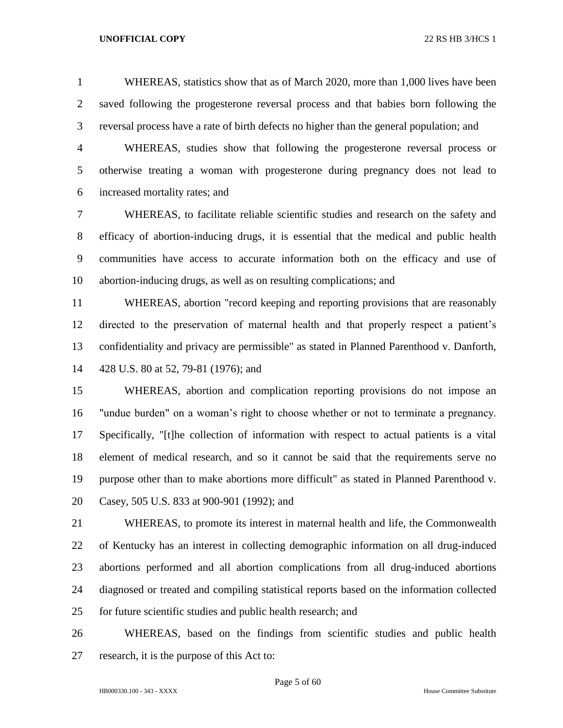WHEREAS, statistics show that as of March 2020, more than 1,000 lives have been saved following the progesterone reversal process and that babies born following the reversal process have a rate of birth defects no higher than the general population; and

 WHEREAS, studies show that following the progesterone reversal process or otherwise treating a woman with progesterone during pregnancy does not lead to increased mortality rates; and

 WHEREAS, to facilitate reliable scientific studies and research on the safety and efficacy of abortion-inducing drugs, it is essential that the medical and public health communities have access to accurate information both on the efficacy and use of abortion-inducing drugs, as well as on resulting complications; and

 WHEREAS, abortion "record keeping and reporting provisions that are reasonably directed to the preservation of maternal health and that properly respect a patient's confidentiality and privacy are permissible" as stated in Planned Parenthood v. Danforth, 428 U.S. 80 at 52, 79-81 (1976); and

 WHEREAS, abortion and complication reporting provisions do not impose an "undue burden" on a woman's right to choose whether or not to terminate a pregnancy. Specifically, "[t]he collection of information with respect to actual patients is a vital element of medical research, and so it cannot be said that the requirements serve no purpose other than to make abortions more difficult" as stated in Planned Parenthood v. Casey, 505 U.S. 833 at 900-901 (1992); and

 WHEREAS, to promote its interest in maternal health and life, the Commonwealth of Kentucky has an interest in collecting demographic information on all drug-induced abortions performed and all abortion complications from all drug-induced abortions diagnosed or treated and compiling statistical reports based on the information collected for future scientific studies and public health research; and

 WHEREAS, based on the findings from scientific studies and public health research, it is the purpose of this Act to:

Page 5 of 60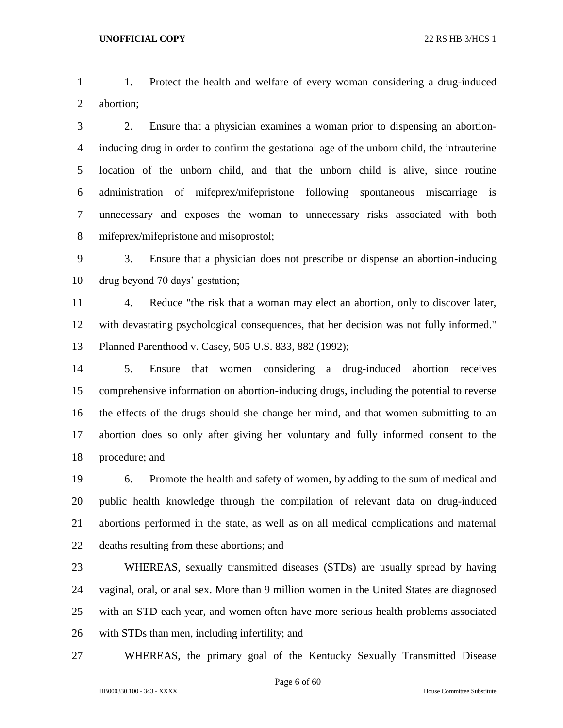1. Protect the health and welfare of every woman considering a drug-induced abortion;

 2. Ensure that a physician examines a woman prior to dispensing an abortion- inducing drug in order to confirm the gestational age of the unborn child, the intrauterine location of the unborn child, and that the unborn child is alive, since routine administration of mifeprex/mifepristone following spontaneous miscarriage is unnecessary and exposes the woman to unnecessary risks associated with both mifeprex/mifepristone and misoprostol;

 3. Ensure that a physician does not prescribe or dispense an abortion-inducing drug beyond 70 days' gestation;

 4. Reduce "the risk that a woman may elect an abortion, only to discover later, with devastating psychological consequences, that her decision was not fully informed." Planned Parenthood v. Casey, 505 U.S. 833, 882 (1992);

 5. Ensure that women considering a drug-induced abortion receives comprehensive information on abortion-inducing drugs, including the potential to reverse the effects of the drugs should she change her mind, and that women submitting to an abortion does so only after giving her voluntary and fully informed consent to the procedure; and

 6. Promote the health and safety of women, by adding to the sum of medical and public health knowledge through the compilation of relevant data on drug-induced abortions performed in the state, as well as on all medical complications and maternal deaths resulting from these abortions; and

 WHEREAS, sexually transmitted diseases (STDs) are usually spread by having vaginal, oral, or anal sex. More than 9 million women in the United States are diagnosed with an STD each year, and women often have more serious health problems associated with STDs than men, including infertility; and

WHEREAS, the primary goal of the Kentucky Sexually Transmitted Disease

Page 6 of 60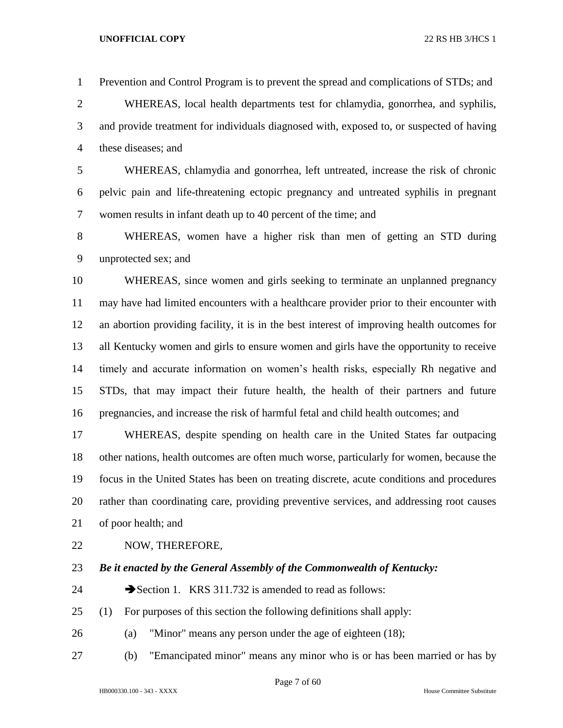Prevention and Control Program is to prevent the spread and complications of STDs; and

 WHEREAS, local health departments test for chlamydia, gonorrhea, and syphilis, and provide treatment for individuals diagnosed with, exposed to, or suspected of having these diseases; and

 WHEREAS, chlamydia and gonorrhea, left untreated, increase the risk of chronic pelvic pain and life-threatening ectopic pregnancy and untreated syphilis in pregnant women results in infant death up to 40 percent of the time; and

 WHEREAS, women have a higher risk than men of getting an STD during unprotected sex; and

 WHEREAS, since women and girls seeking to terminate an unplanned pregnancy may have had limited encounters with a healthcare provider prior to their encounter with an abortion providing facility, it is in the best interest of improving health outcomes for all Kentucky women and girls to ensure women and girls have the opportunity to receive timely and accurate information on women's health risks, especially Rh negative and STDs, that may impact their future health, the health of their partners and future pregnancies, and increase the risk of harmful fetal and child health outcomes; and

 WHEREAS, despite spending on health care in the United States far outpacing other nations, health outcomes are often much worse, particularly for women, because the focus in the United States has been on treating discrete, acute conditions and procedures rather than coordinating care, providing preventive services, and addressing root causes of poor health; and

- NOW, THEREFORE,
- 

# *Be it enacted by the General Assembly of the Commonwealth of Kentucky:*

- 24 Section 1. KRS 311.732 is amended to read as follows:
- (1) For purposes of this section the following definitions shall apply:
- (a) "Minor" means any person under the age of eighteen (18);
- (b) "Emancipated minor" means any minor who is or has been married or has by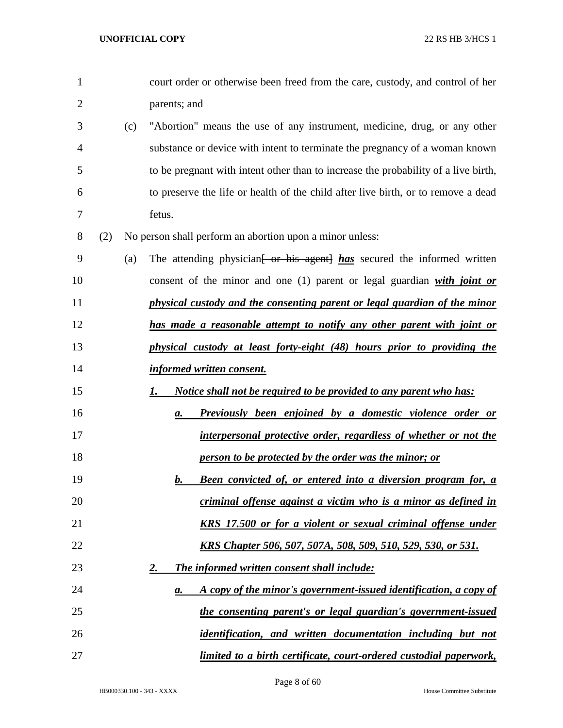| $\mathbf{1}$   |     |     | court order or otherwise been freed from the care, custody, and control of her      |
|----------------|-----|-----|-------------------------------------------------------------------------------------|
| $\overline{2}$ |     |     | parents; and                                                                        |
| 3              |     | (c) | "Abortion" means the use of any instrument, medicine, drug, or any other            |
| 4              |     |     | substance or device with intent to terminate the pregnancy of a woman known         |
| 5              |     |     | to be pregnant with intent other than to increase the probability of a live birth,  |
| 6              |     |     | to preserve the life or health of the child after live birth, or to remove a dead   |
| 7              |     |     | fetus.                                                                              |
| 8              | (2) |     | No person shall perform an abortion upon a minor unless:                            |
| 9              |     | (a) | The attending physician <del>[ or his agent]</del> has secured the informed written |
| 10             |     |     | consent of the minor and one $(1)$ parent or legal guardian with joint or           |
| 11             |     |     | physical custody and the consenting parent or legal guardian of the minor           |
| 12             |     |     | has made a reasonable attempt to notify any other parent with joint or              |
| 13             |     |     | physical custody at least forty-eight (48) hours prior to providing the             |
| 14             |     |     | informed written consent.                                                           |
| 15             |     |     | <u>Notice shall not be required to be provided to any parent who has:</u><br>1.     |
| 16             |     |     | <b>Previously been enjoined by a domestic violence order or</b><br>a.               |
| 17             |     |     | interpersonal protective order, regardless of whether or not the                    |
| 18             |     |     | person to be protected by the order was the minor; or                               |
| 19             |     |     | <b>Been convicted of, or entered into a diversion program for, a</b><br>b.          |
| 20             |     |     | criminal offense against a victim who is a minor as defined in                      |
| 21             |     |     | <b>KRS</b> 17.500 or for a violent or sexual criminal offense under                 |
| 22             |     |     | <u>KRS Chapter 506, 507, 507A, 508, 509, 510, 529, 530, or 531.</u>                 |
| 23             |     |     | <u>2.</u><br><b>The informed written consent shall include:</b>                     |
| 24             |     |     | A copy of the minor's government-issued identification, a copy of<br>$\mathbf{a}$ . |
| 25             |     |     | the consenting parent's or legal guardian's government-issued                       |
| 26             |     |     | <i>identification, and written documentation including but not</i>                  |
| 27             |     |     | limited to a birth certificate, court-ordered custodial paperwork,                  |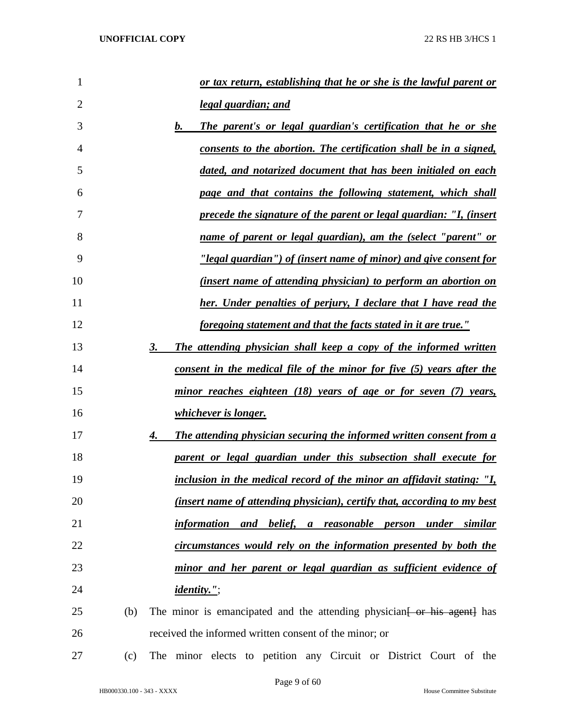| 1              |     | or tax return, establishing that he or she is the lawful parent or                |
|----------------|-----|-----------------------------------------------------------------------------------|
| $\overline{2}$ |     | legal guardian; and                                                               |
| 3              |     | b.<br>The parent's or legal guardian's certification that he or she               |
| $\overline{4}$ |     | consents to the abortion. The certification shall be in a signed,                 |
| 5              |     | dated, and notarized document that has been initialed on each                     |
| 6              |     | page and that contains the following statement, which shall                       |
| 7              |     | <u>precede the signature of the parent or legal guardian: "I, (insert</u>         |
| 8              |     | name of parent or legal guardian), am the (select "parent" or                     |
| 9              |     | <u>"legal guardian") of (insert name of minor) and give consent for</u>           |
| 10             |     | (insert name of attending physician) to perform an abortion on                    |
| 11             |     | her. Under penalties of perjury, I declare that I have read the                   |
| 12             |     | <u>foregoing statement and that the facts stated in it are true."</u>             |
| 13             |     | The attending physician shall keep a copy of the informed written<br>3.           |
| 14             |     | consent in the medical file of the minor for five (5) years after the             |
| 15             |     | minor reaches eighteen (18) years of age or for seven (7) years,                  |
| 16             |     | whichever is longer.                                                              |
| 17             |     | <b>The attending physician securing the informed written consent from a</b><br>4. |
| 18             |     | parent or legal guardian under this subsection shall execute for                  |
| 19             |     | inclusion in the medical record of the minor an affidavit stating: "I,            |
| 20             |     | <i>(insert name of attending physician), certify that, according to my best</i>   |
| 21             |     | information and belief, a reasonable person under similar                         |
| 22             |     | circumstances would rely on the information presented by both the                 |
| 23             |     | minor and her parent or legal guardian as sufficient evidence of                  |
| 24             |     | <i>identity."</i> ;                                                               |
| 25             | (b) | The minor is emancipated and the attending physician for his agent has            |
| 26             |     | received the informed written consent of the minor; or                            |
| 27             | (c) | The minor elects to petition any Circuit or District Court of the                 |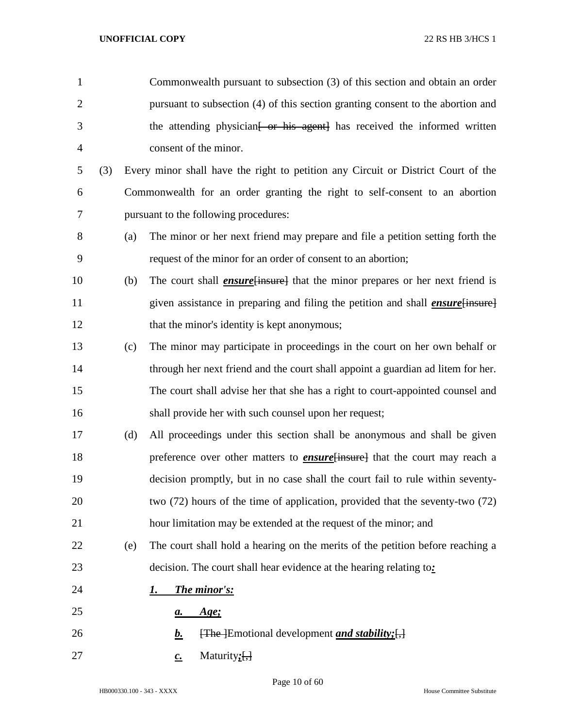| $\mathbf{1}$   |     |     | Commonwealth pursuant to subsection (3) of this section and obtain an order                      |
|----------------|-----|-----|--------------------------------------------------------------------------------------------------|
| $\overline{2}$ |     |     | pursuant to subsection (4) of this section granting consent to the abortion and                  |
| 3              |     |     | the attending physician <del>[ or his agent]</del> has received the informed written             |
| $\overline{4}$ |     |     | consent of the minor.                                                                            |
| 5              | (3) |     | Every minor shall have the right to petition any Circuit or District Court of the                |
| 6              |     |     | Commonwealth for an order granting the right to self-consent to an abortion                      |
| $\tau$         |     |     | pursuant to the following procedures:                                                            |
| $8\,$          |     | (a) | The minor or her next friend may prepare and file a petition setting forth the                   |
| 9              |     |     | request of the minor for an order of consent to an abortion;                                     |
| 10             |     | (b) | The court shall <i>ensure</i> [insure] that the minor prepares or her next friend is             |
| 11             |     |     | given assistance in preparing and filing the petition and shall <i>ensure</i> [insure]           |
| 12             |     |     | that the minor's identity is kept anonymous;                                                     |
| 13             |     | (c) | The minor may participate in proceedings in the court on her own behalf or                       |
| 14             |     |     | through her next friend and the court shall appoint a guardian ad litem for her.                 |
| 15             |     |     | The court shall advise her that she has a right to court-appointed counsel and                   |
| 16             |     |     | shall provide her with such counsel upon her request;                                            |
| 17             |     | (d) | All proceedings under this section shall be anonymous and shall be given                         |
| 18             |     |     | preference over other matters to <b>ensure</b> insure that the court may reach a                 |
| 19             |     |     | decision promptly, but in no case shall the court fail to rule within seventy-                   |
| 20             |     |     | two $(72)$ hours of the time of application, provided that the seventy-two $(72)$                |
| 21             |     |     | hour limitation may be extended at the request of the minor; and                                 |
| 22             |     | (e) | The court shall hold a hearing on the merits of the petition before reaching a                   |
| 23             |     |     | decision. The court shall hear evidence at the hearing relating to:                              |
| 24             |     |     | <b>The minor's:</b><br>1.                                                                        |
| 25             |     |     | <u>Age;</u><br><u>a.</u>                                                                         |
| 26             |     |     | $\overline{f}$ [The ] Emotional development <i>and stability</i> ; $\overline{f}$ ]<br><u>b.</u> |
| 27             |     |     | Maturity;[ <del>,]</del><br>$\underline{c}$ .                                                    |

Page 10 of 60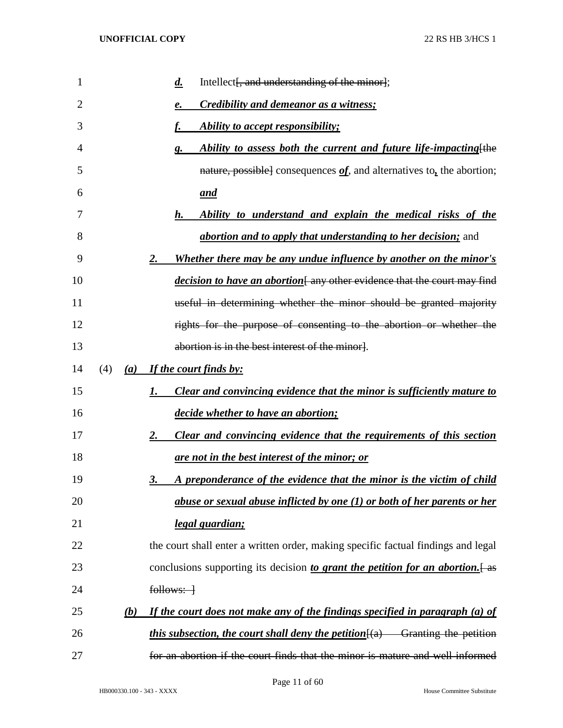| 1  |     |     | $\boldsymbol{d.}$<br>Intellect [, and understanding of the minor];                      |
|----|-----|-----|-----------------------------------------------------------------------------------------|
| 2  |     |     | Credibility and demeanor as a witness;<br>e.                                            |
| 3  |     |     | Ability to accept responsibility;                                                       |
| 4  |     |     | Ability to assess both the current and future life-impacting [the<br>g.                 |
| 5  |     |     | nature, possible] consequences $of$ , and alternatives to, the abortion;                |
| 6  |     |     | <u>and</u>                                                                              |
| 7  |     |     | Ability to understand and explain the medical risks of the<br>h.                        |
| 8  |     |     | <i>abortion and to apply that understanding to her decision;</i> and                    |
| 9  |     |     | <u>Whether there may be any undue influence by another on the minor's</u><br><u>2.</u>  |
| 10 |     |     | decision to have an abortion[any other evidence that the court may find                 |
| 11 |     |     | useful in determining whether the minor should be granted majority                      |
| 12 |     |     | rights for the purpose of consenting to the abortion or whether the                     |
| 13 |     |     | abortion is in the best interest of the minor.                                          |
| 14 | (4) |     | (a) If the court finds by:                                                              |
| 15 |     |     | <b>Clear and convincing evidence that the minor is sufficiently mature to</b>           |
| 16 |     |     | decide whether to have an abortion;                                                     |
| 17 |     |     | Clear and convincing evidence that the requirements of this section<br>2.               |
| 18 |     |     | <u>are not in the best interest of the minor; or</u>                                    |
| 19 |     |     | A preponderance of the evidence that the minor is the victim of child<br>3.             |
| 20 |     |     | abuse or sexual abuse inflicted by one (1) or both of her parents or her                |
| 21 |     |     | <u>legal guardian;</u>                                                                  |
| 22 |     |     | the court shall enter a written order, making specific factual findings and legal       |
| 23 |     |     | conclusions supporting its decision to grant the petition for an abortion. [as          |
| 24 |     |     | $follows:$ $\rightarrow$                                                                |
| 25 |     | (b) | If the court does not make any of the findings specified in paragraph $(a)$ of          |
| 26 |     |     | <i>this subsection, the court shall deny the petition</i> $\{a\}$ Granting the petition |
| 27 |     |     | for an abortion if the court finds that the minor is mature and well informed           |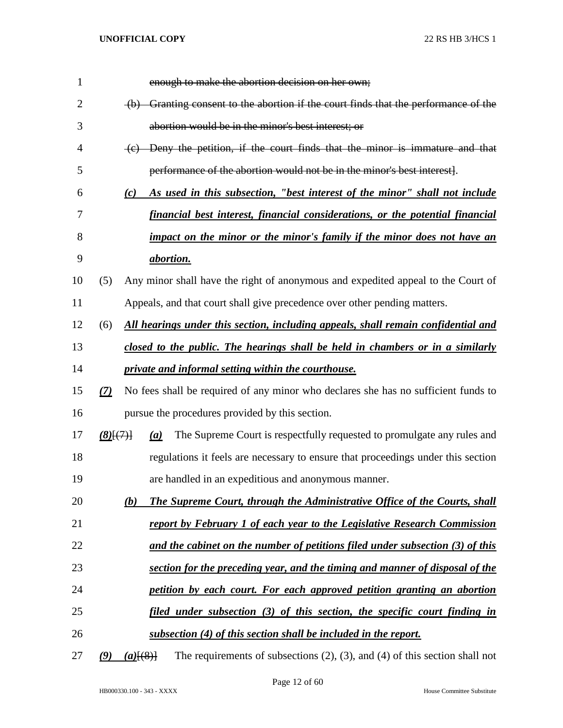| 1              |             |             | enough to make the abortion decision on her own;                                    |
|----------------|-------------|-------------|-------------------------------------------------------------------------------------|
| $\overline{2}$ |             |             | (b) Granting consent to the abortion if the court finds that the performance of the |
| 3              |             |             | abortion would be in the minor's best interest; or                                  |
| $\overline{4}$ |             |             | (c) Deny the petition, if the court finds that the minor is immature and that       |
| 5              |             |             | performance of the abortion would not be in the minor's best interest].             |
| 6              |             | (c)         | As used in this subsection, "best interest of the minor" shall not include          |
| 7              |             |             | financial best interest, financial considerations, or the potential financial       |
| 8              |             |             | impact on the minor or the minor's family if the minor does not have an             |
| 9              |             |             | abortion.                                                                           |
| 10             | (5)         |             | Any minor shall have the right of anonymous and expedited appeal to the Court of    |
| 11             |             |             | Appeals, and that court shall give precedence over other pending matters.           |
| 12             | (6)         |             | All hearings under this section, including appeals, shall remain confidential and   |
| 13             |             |             | closed to the public. The hearings shall be held in chambers or in a similarly      |
| 14             |             |             | private and informal setting within the courthouse.                                 |
| 15             | (7)         |             | No fees shall be required of any minor who declares she has no sufficient funds to  |
| 16             |             |             | pursue the procedures provided by this section.                                     |
| 17             | $(8)$ $(7)$ | (a)         | The Supreme Court is respectfully requested to promulgate any rules and             |
| 18             |             |             | regulations it feels are necessary to ensure that proceedings under this section    |
| 19             |             |             | are handled in an expeditious and anonymous manner.                                 |
| 20             |             | (b)         | The Supreme Court, through the Administrative Office of the Courts, shall           |
| 21             |             |             | report by February 1 of each year to the Legislative Research Commission            |
| 22             |             |             | and the cabinet on the number of petitions filed under subsection $(3)$ of this     |
| 23             |             |             | section for the preceding year, and the timing and manner of disposal of the        |
| 24             |             |             | petition by each court. For each approved petition granting an abortion             |
| 25             |             |             | filed under subsection (3) of this section, the specific court finding in           |
| 26             |             |             | subsection (4) of this section shall be included in the report.                     |
| 27             | (9)         | $(a)$ [(8)] | The requirements of subsections $(2)$ , $(3)$ , and $(4)$ of this section shall not |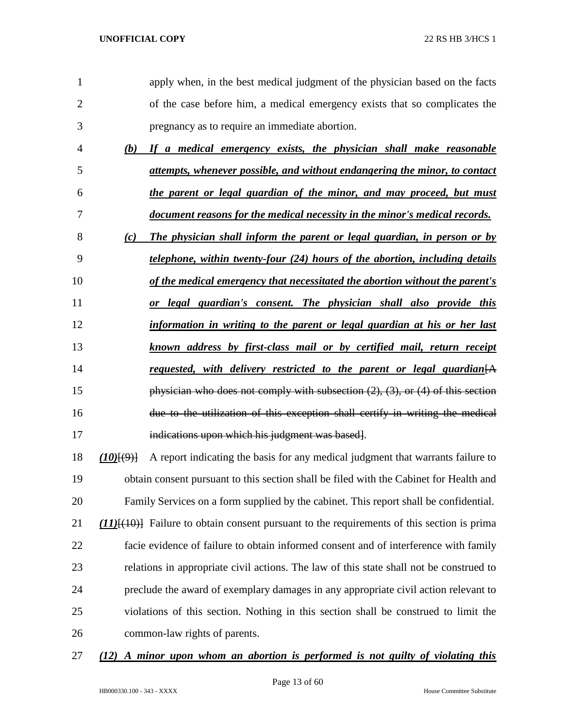| 1              |         | apply when, in the best medical judgment of the physician based on the facts                  |
|----------------|---------|-----------------------------------------------------------------------------------------------|
| $\overline{2}$ |         | of the case before him, a medical emergency exists that so complicates the                    |
| 3              |         | pregnancy as to require an immediate abortion.                                                |
| 4              |         | (b) If a medical emergency exists, the physician shall make reasonable                        |
| 5              |         | attempts, whenever possible, and without endangering the minor, to contact                    |
| 6              |         | the parent or legal guardian of the minor, and may proceed, but must                          |
| 7              |         | document reasons for the medical necessity in the minor's medical records.                    |
| 8              | (c)     | The physician shall inform the parent or legal guardian, in person or by                      |
| 9              |         | <i>delephone, within twenty-four (24) hours of the abortion, including details</i>            |
| 10             |         | of the medical emergency that necessitated the abortion without the parent's                  |
| 11             |         | or legal guardian's consent. The physician shall also provide this                            |
| 12             |         | information in writing to the parent or legal guardian at his or her last                     |
| 13             |         | known address by first-class mail or by certified mail, return receipt                        |
| 14             |         | requested, with delivery restricted to the parent or legal guardian $[A]$                     |
| 15             |         | physician who does not comply with subsection $(2)$ , $(3)$ , or $(4)$ of this section        |
| 16             |         | due to the utilization of this exception shall certify in writing the medical                 |
| 17             |         | indications upon which his judgment was based.                                                |
|                |         |                                                                                               |
| 18             | (10)(9) | A report indicating the basis for any medical judgment that warrants failure to               |
| 19             |         | obtain consent pursuant to this section shall be filed with the Cabinet for Health and        |
| 20             |         | Family Services on a form supplied by the cabinet. This report shall be confidential.         |
| 21             |         | $(11)$ $(10)$ Failure to obtain consent pursuant to the requirements of this section is prima |
| 22             |         | facie evidence of failure to obtain informed consent and of interference with family          |
| 23             |         | relations in appropriate civil actions. The law of this state shall not be construed to       |
| 24             |         | preclude the award of exemplary damages in any appropriate civil action relevant to           |
| 25             |         | violations of this section. Nothing in this section shall be construed to limit the           |

*(12) A minor upon whom an abortion is performed is not guilty of violating this*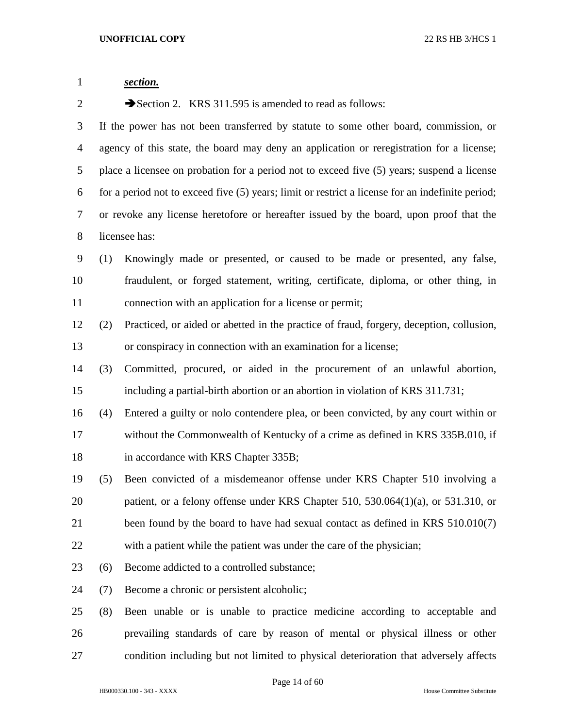| $\mathbf{1}$   |     | section.                                                                                         |  |  |
|----------------|-----|--------------------------------------------------------------------------------------------------|--|--|
| $\overline{2}$ |     | Section 2. KRS 311.595 is amended to read as follows:                                            |  |  |
| 3              |     | If the power has not been transferred by statute to some other board, commission, or             |  |  |
| 4              |     | agency of this state, the board may deny an application or reregistration for a license;         |  |  |
| 5              |     | place a licensee on probation for a period not to exceed five (5) years; suspend a license       |  |  |
| 6              |     | for a period not to exceed five (5) years; limit or restrict a license for an indefinite period; |  |  |
| 7              |     | or revoke any license heretofore or hereafter issued by the board, upon proof that the           |  |  |
| 8              |     | licensee has:                                                                                    |  |  |
| 9              | (1) | Knowingly made or presented, or caused to be made or presented, any false,                       |  |  |
| 10             |     | fraudulent, or forged statement, writing, certificate, diploma, or other thing, in               |  |  |
| 11             |     | connection with an application for a license or permit;                                          |  |  |
| 12             | (2) | Practiced, or aided or abetted in the practice of fraud, forgery, deception, collusion,          |  |  |
| 13             |     | or conspiracy in connection with an examination for a license;                                   |  |  |
| 14             | (3) | Committed, procured, or aided in the procurement of an unlawful abortion,                        |  |  |
| 15             |     | including a partial-birth abortion or an abortion in violation of KRS 311.731;                   |  |  |
| 16             | (4) | Entered a guilty or nolo contendere plea, or been convicted, by any court within or              |  |  |
| 17             |     | without the Commonwealth of Kentucky of a crime as defined in KRS 335B.010, if                   |  |  |
| 18             |     | in accordance with KRS Chapter 335B;                                                             |  |  |
| 19             | (5) | Been convicted of a misdemeanor offense under KRS Chapter 510 involving a                        |  |  |
| 20             |     | patient, or a felony offense under KRS Chapter 510, 530.064(1)(a), or 531.310, or                |  |  |
| 21             |     | been found by the board to have had sexual contact as defined in KRS 510.010(7)                  |  |  |
| 22             |     | with a patient while the patient was under the care of the physician;                            |  |  |
| 23             | (6) | Become addicted to a controlled substance;                                                       |  |  |
| 24             | (7) | Become a chronic or persistent alcoholic;                                                        |  |  |
| 25             | (8) | Been unable or is unable to practice medicine according to acceptable and                        |  |  |
| 26             |     | prevailing standards of care by reason of mental or physical illness or other                    |  |  |
| 27             |     | condition including but not limited to physical deterioration that adversely affects             |  |  |

Page 14 of 60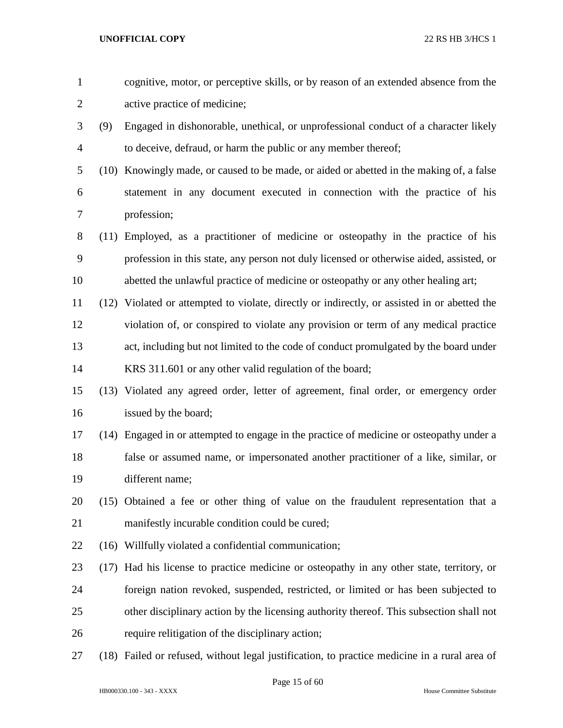| $\mathbf{1}$   |      | cognitive, motor, or perceptive skills, or by reason of an extended absence from the         |
|----------------|------|----------------------------------------------------------------------------------------------|
| 2              |      | active practice of medicine;                                                                 |
| 3              | (9)  | Engaged in dishonorable, unethical, or unprofessional conduct of a character likely          |
| $\overline{4}$ |      | to deceive, defraud, or harm the public or any member thereof;                               |
| 5              |      | (10) Knowingly made, or caused to be made, or aided or abetted in the making of, a false     |
| 6              |      | statement in any document executed in connection with the practice of his                    |
| 7              |      | profession;                                                                                  |
| 8              |      | (11) Employed, as a practitioner of medicine or osteopathy in the practice of his            |
| 9              |      | profession in this state, any person not duly licensed or otherwise aided, assisted, or      |
| 10             |      | abetted the unlawful practice of medicine or osteopathy or any other healing art;            |
| 11             |      | (12) Violated or attempted to violate, directly or indirectly, or assisted in or abetted the |
| 12             |      | violation of, or conspired to violate any provision or term of any medical practice          |
| 13             |      | act, including but not limited to the code of conduct promulgated by the board under         |
| 14             |      | KRS 311.601 or any other valid regulation of the board;                                      |
| 15             |      | (13) Violated any agreed order, letter of agreement, final order, or emergency order         |
| 16             |      | issued by the board;                                                                         |
| 17             |      | (14) Engaged in or attempted to engage in the practice of medicine or osteopathy under a     |
| 18             |      | false or assumed name, or impersonated another practitioner of a like, similar, or           |
| 19             |      | different name;                                                                              |
| 20             |      | (15) Obtained a fee or other thing of value on the fraudulent representation that a          |
| 21             |      | manifestly incurable condition could be cured;                                               |
| 22             | (16) | Willfully violated a confidential communication;                                             |
| 23             | (17) | Had his license to practice medicine or osteopathy in any other state, territory, or         |
| 24             |      | foreign nation revoked, suspended, restricted, or limited or has been subjected to           |
| 25             |      | other disciplinary action by the licensing authority thereof. This subsection shall not      |
| 26             |      | require relitigation of the disciplinary action;                                             |
| 27             | (18) | Failed or refused, without legal justification, to practice medicine in a rural area of      |

Page 15 of 60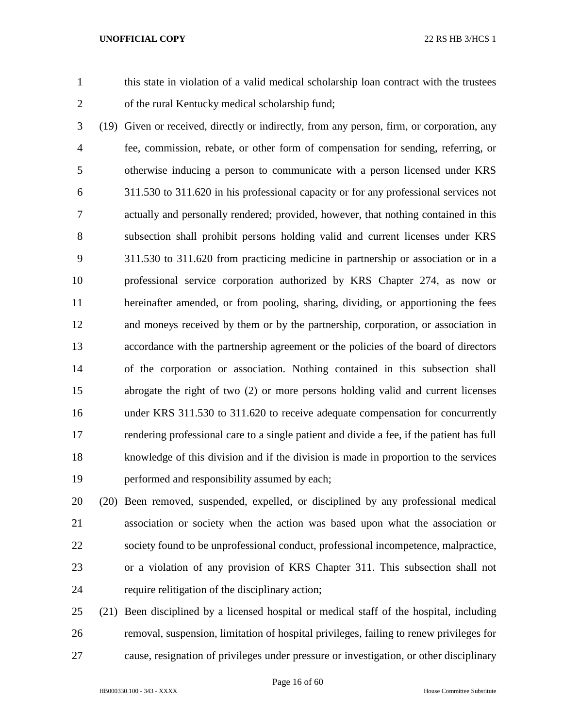this state in violation of a valid medical scholarship loan contract with the trustees of the rural Kentucky medical scholarship fund;

 (19) Given or received, directly or indirectly, from any person, firm, or corporation, any fee, commission, rebate, or other form of compensation for sending, referring, or otherwise inducing a person to communicate with a person licensed under KRS 311.530 to 311.620 in his professional capacity or for any professional services not actually and personally rendered; provided, however, that nothing contained in this subsection shall prohibit persons holding valid and current licenses under KRS 311.530 to 311.620 from practicing medicine in partnership or association or in a professional service corporation authorized by KRS Chapter 274, as now or hereinafter amended, or from pooling, sharing, dividing, or apportioning the fees and moneys received by them or by the partnership, corporation, or association in accordance with the partnership agreement or the policies of the board of directors of the corporation or association. Nothing contained in this subsection shall abrogate the right of two (2) or more persons holding valid and current licenses under KRS 311.530 to 311.620 to receive adequate compensation for concurrently rendering professional care to a single patient and divide a fee, if the patient has full knowledge of this division and if the division is made in proportion to the services performed and responsibility assumed by each;

 (20) Been removed, suspended, expelled, or disciplined by any professional medical association or society when the action was based upon what the association or society found to be unprofessional conduct, professional incompetence, malpractice, or a violation of any provision of KRS Chapter 311. This subsection shall not require relitigation of the disciplinary action;

 (21) Been disciplined by a licensed hospital or medical staff of the hospital, including removal, suspension, limitation of hospital privileges, failing to renew privileges for cause, resignation of privileges under pressure or investigation, or other disciplinary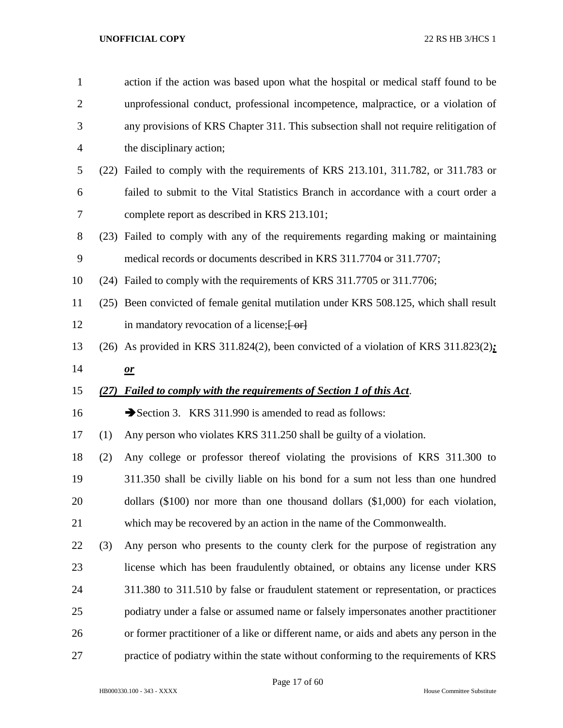| $\mathbf{1}$   |      | action if the action was based upon what the hospital or medical staff found to be      |
|----------------|------|-----------------------------------------------------------------------------------------|
| $\overline{2}$ |      | unprofessional conduct, professional incompetence, malpractice, or a violation of       |
| 3              |      | any provisions of KRS Chapter 311. This subsection shall not require relitigation of    |
| 4              |      | the disciplinary action;                                                                |
| 5              |      | (22) Failed to comply with the requirements of KRS 213.101, 311.782, or 311.783 or      |
| 6              |      | failed to submit to the Vital Statistics Branch in accordance with a court order a      |
| 7              |      | complete report as described in KRS 213.101;                                            |
| 8              |      | (23) Failed to comply with any of the requirements regarding making or maintaining      |
| 9              |      | medical records or documents described in KRS 311.7704 or 311.7707;                     |
| 10             |      | (24) Failed to comply with the requirements of KRS 311.7705 or 311.7706;                |
| 11             |      | (25) Been convicted of female genital mutilation under KRS 508.125, which shall result  |
| 12             |      | in mandatory revocation of a license; [-or]                                             |
| 13             |      | (26) As provided in KRS 311.824(2), been convicted of a violation of KRS 311.823(2):    |
| 14             |      | $\mathbf{\underline{or}}$                                                               |
|                |      |                                                                                         |
| 15             | (27) | <b>Failed to comply with the requirements of Section 1 of this Act.</b>                 |
| 16             |      | Section 3. KRS 311.990 is amended to read as follows:                                   |
| 17             | (1)  | Any person who violates KRS 311.250 shall be guilty of a violation.                     |
| 18             | (2)  | Any college or professor thereof violating the provisions of KRS 311.300 to             |
| 19             |      | 311.350 shall be civilly liable on his bond for a sum not less than one hundred         |
| 20             |      | dollars $(\$100)$ nor more than one thousand dollars $(\$1,000)$ for each violation,    |
| 21             |      | which may be recovered by an action in the name of the Commonwealth.                    |
| 22             | (3)  | Any person who presents to the county clerk for the purpose of registration any         |
| 23             |      | license which has been fraudulently obtained, or obtains any license under KRS          |
| 24             |      | 311.380 to 311.510 by false or fraudulent statement or representation, or practices     |
| 25             |      | podiatry under a false or assumed name or falsely impersonates another practitioner     |
| 26             |      | or former practitioner of a like or different name, or aids and abets any person in the |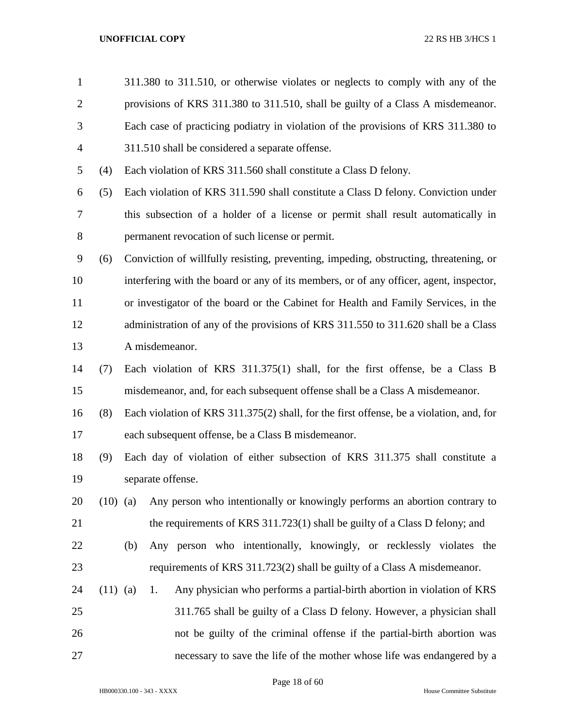| $\mathbf{1}$   |            |     | 311.380 to 311.510, or otherwise violates or neglects to comply with any of the         |
|----------------|------------|-----|-----------------------------------------------------------------------------------------|
| $\overline{2}$ |            |     | provisions of KRS 311.380 to 311.510, shall be guilty of a Class A misdemeanor.         |
| 3              |            |     | Each case of practicing podiatry in violation of the provisions of KRS 311.380 to       |
| 4              |            |     | 311.510 shall be considered a separate offense.                                         |
| 5              | (4)        |     | Each violation of KRS 311.560 shall constitute a Class D felony.                        |
| 6              | (5)        |     | Each violation of KRS 311.590 shall constitute a Class D felony. Conviction under       |
| 7              |            |     | this subsection of a holder of a license or permit shall result automatically in        |
| 8              |            |     | permanent revocation of such license or permit.                                         |
| 9              | (6)        |     | Conviction of willfully resisting, preventing, impeding, obstructing, threatening, or   |
| 10             |            |     | interfering with the board or any of its members, or of any officer, agent, inspector,  |
| 11             |            |     | or investigator of the board or the Cabinet for Health and Family Services, in the      |
| 12             |            |     | administration of any of the provisions of KRS 311.550 to 311.620 shall be a Class      |
| 13             |            |     | A misdemeanor.                                                                          |
| 14             | (7)        |     | Each violation of KRS 311.375(1) shall, for the first offense, be a Class B             |
| 15             |            |     | misdemeanor, and, for each subsequent offense shall be a Class A misdemeanor.           |
| 16             | (8)        |     | Each violation of KRS 311.375(2) shall, for the first offense, be a violation, and, for |
| 17             |            |     | each subsequent offense, be a Class B misdemeanor.                                      |
| 18             | (9)        |     | Each day of violation of either subsection of KRS 311.375 shall constitute a            |
| 19             |            |     | separate offense.                                                                       |
| 20             | $(10)$ (a) |     | Any person who intentionally or knowingly performs an abortion contrary to              |
| 21             |            |     | the requirements of KRS 311.723(1) shall be guilty of a Class D felony; and             |
| 22             |            | (b) | Any person who intentionally, knowingly, or recklessly violates the                     |
| 23             |            |     | requirements of KRS 311.723(2) shall be guilty of a Class A misdemeanor.                |
| 24             | $(11)$ (a) |     | Any physician who performs a partial-birth abortion in violation of KRS<br>1.           |
| 25             |            |     | 311.765 shall be guilty of a Class D felony. However, a physician shall                 |
| 26             |            |     | not be guilty of the criminal offense if the partial-birth abortion was                 |
| 27             |            |     | necessary to save the life of the mother whose life was endangered by a                 |
|                |            |     |                                                                                         |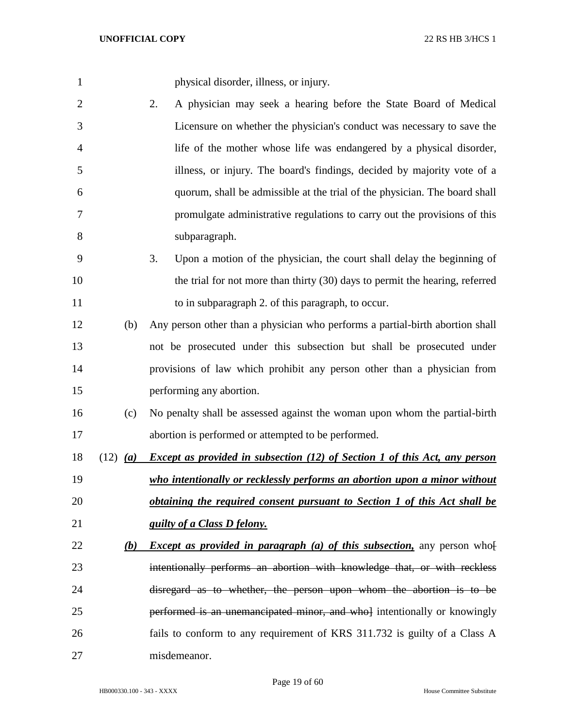| $\mathbf{1}$   |            | physical disorder, illness, or injury.                                            |
|----------------|------------|-----------------------------------------------------------------------------------|
| $\overline{c}$ |            | A physician may seek a hearing before the State Board of Medical<br>2.            |
| 3              |            | Licensure on whether the physician's conduct was necessary to save the            |
| 4              |            | life of the mother whose life was endangered by a physical disorder,              |
| 5              |            | illness, or injury. The board's findings, decided by majority vote of a           |
| 6              |            | quorum, shall be admissible at the trial of the physician. The board shall        |
| 7              |            | promulgate administrative regulations to carry out the provisions of this         |
| 8              |            | subparagraph.                                                                     |
| 9              |            | 3.<br>Upon a motion of the physician, the court shall delay the beginning of      |
| 10             |            | the trial for not more than thirty (30) days to permit the hearing, referred      |
| 11             |            | to in subparagraph 2. of this paragraph, to occur.                                |
| 12             | (b)        | Any person other than a physician who performs a partial-birth abortion shall     |
| 13             |            | not be prosecuted under this subsection but shall be prosecuted under             |
| 14             |            | provisions of law which prohibit any person other than a physician from           |
| 15             |            | performing any abortion.                                                          |
| 16             | (c)        | No penalty shall be assessed against the woman upon whom the partial-birth        |
| 17             |            | abortion is performed or attempted to be performed.                               |
| 18             | $(12)$ (a) | <b>Except as provided in subsection (12) of Section 1 of this Act, any person</b> |
| 19             |            | who intentionally or recklessly performs an abortion upon a minor without         |
| 20             |            | <i>obtaining the required consent pursuant to Section 1 of this Act shall be</i>  |
| 21             |            | guilty of a Class D felony.                                                       |
| 22             | <u>(b)</u> | <i>Except as provided in paragraph (a) of this subsection</i> , any person who    |
| 23             |            | intentionally performs an abortion with knowledge that, or with reckless          |
| 24             |            | disregard as to whether, the person upon whom the abortion is to be               |
| 25             |            | performed is an unemancipated minor, and who intentionally or knowingly           |
| 26             |            | fails to conform to any requirement of KRS 311.732 is guilty of a Class A         |
| 27             |            | misdemeanor.                                                                      |

Page 19 of 60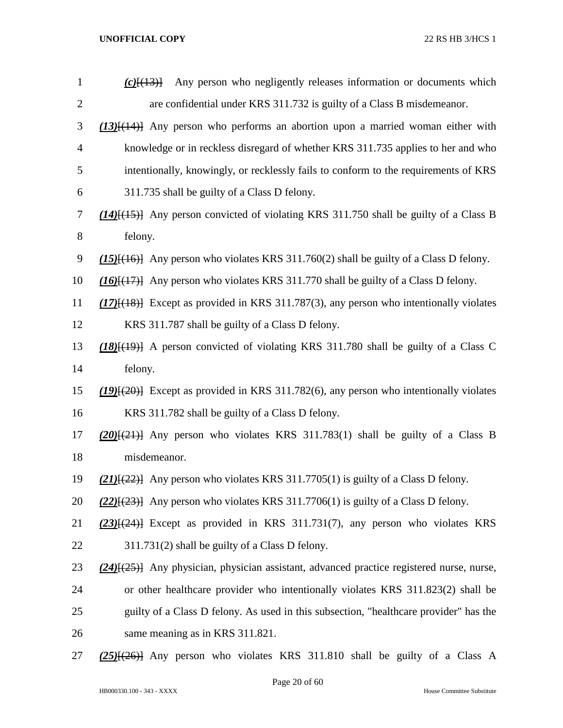| $\mathbf{1}$   | Any person who negligently releases information or documents which<br>$(c)$ $\{43\}$             |
|----------------|--------------------------------------------------------------------------------------------------|
| $\overline{2}$ | are confidential under KRS 311.732 is guilty of a Class B misdemeanor.                           |
| 3              | $(13)$ { $(14)$ } Any person who performs an abortion upon a married woman either with           |
| 4              | knowledge or in reckless disregard of whether KRS 311.735 applies to her and who                 |
| 5              | intentionally, knowingly, or recklessly fails to conform to the requirements of KRS              |
| 6              | 311.735 shall be guilty of a Class D felony.                                                     |
| 7              | $(14)$ { $(15)$ } Any person convicted of violating KRS 311.750 shall be guilty of a Class B     |
| $8\,$          | felony.                                                                                          |
| 9              | $(15)$ { $(16)$ } Any person who violates KRS 311.760(2) shall be guilty of a Class D felony.    |
| 10             | $(16)$ $\{ (17)$ } Any person who violates KRS 311.770 shall be guilty of a Class D felony.      |
| 11             | $(17)$ [ $(18)$ ] Except as provided in KRS 311.787(3), any person who intentionally violates    |
| 12             | KRS 311.787 shall be guilty of a Class D felony.                                                 |
| 13             | $(18)(19)$ A person convicted of violating KRS 311.780 shall be guilty of a Class C              |
| 14             | felony.                                                                                          |
| 15             | $(19)$ [ $(20)$ ] Except as provided in KRS 311.782(6), any person who intentionally violates    |
| 16             | KRS 311.782 shall be guilty of a Class D felony.                                                 |
| 17             | $(20)(21)$ Any person who violates KRS 311.783(1) shall be guilty of a Class B                   |
| 18             | misdemeanor.                                                                                     |
| 19             | $(21)$ { $(22)$ } Any person who violates KRS 311.7705(1) is guilty of a Class D felony.         |
| 20             | $(22)$ { $(23)$ } Any person who violates KRS 311.7706(1) is guilty of a Class D felony.         |
| 21             | $(23)$ $\frac{1}{24}$ Except as provided in KRS 311.731(7), any person who violates KRS          |
| 22             | 311.731(2) shall be guilty of a Class D felony.                                                  |
| 23             | $(24)$ { $(25)$ } Any physician, physician assistant, advanced practice registered nurse, nurse, |
| 24             | or other healthcare provider who intentionally violates KRS 311.823(2) shall be                  |
| 25             | guilty of a Class D felony. As used in this subsection, "healthcare provider" has the            |
| 26             | same meaning as in KRS 311.821.                                                                  |
| 27             | $(25)$ { $(26)$ } Any person who violates KRS 311.810 shall be guilty of a Class A               |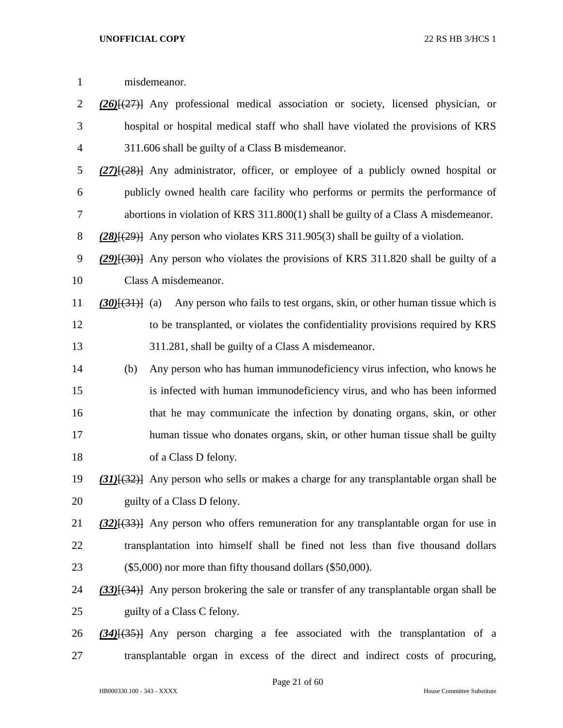| $\mathbf{1}$   |                | misdemeanor.                                                                                     |
|----------------|----------------|--------------------------------------------------------------------------------------------------|
| $\overline{2}$ |                | $(26)$ $(27)$ Any professional medical association or society, licensed physician, or            |
| 3              |                | hospital or hospital medical staff who shall have violated the provisions of KRS                 |
| $\overline{4}$ |                | 311.606 shall be guilty of a Class B misdemeanor.                                                |
| 5              |                | $(27)$ { $(28)$ } Any administrator, officer, or employee of a publicly owned hospital or        |
| 6              |                | publicly owned health care facility who performs or permits the performance of                   |
| 7              |                | abortions in violation of KRS $311.800(1)$ shall be guilty of a Class A misdemeanor.             |
| $8\,$          |                | $(28)(29)$ } Any person who violates KRS 311.905(3) shall be guilty of a violation.              |
| 9              |                | $(29)$ { $(30)$ } Any person who violates the provisions of KRS 311.820 shall be guilty of a     |
| 10             |                | Class A misdemeanor.                                                                             |
| 11             | $(30)(31)$ (a) | Any person who fails to test organs, skin, or other human tissue which is                        |
| 12             |                | to be transplanted, or violates the confidentiality provisions required by KRS                   |
| 13             |                | 311.281, shall be guilty of a Class A misdemeanor.                                               |
| 14             | (b)            | Any person who has human immunodeficiency virus infection, who knows he                          |
| 15             |                | is infected with human immunodeficiency virus, and who has been informed                         |
| 16             |                | that he may communicate the infection by donating organs, skin, or other                         |
| 17             |                | human tissue who donates organs, skin, or other human tissue shall be guilty                     |
| 18             |                | of a Class D felony.                                                                             |
| 19             |                | (31)[(32)] Any person who sells or makes a charge for any transplantable organ shall be          |
| 20             |                | guilty of a Class D felony.                                                                      |
| 21             |                | $(32)$ { $(33)$ } Any person who offers remuneration for any transplantable organ for use in     |
| 22             |                | transplantation into himself shall be fined not less than five thousand dollars                  |
| 23             |                | $(\$5,000)$ nor more than fifty thousand dollars $(\$50,000)$ .                                  |
| 24             |                | $(33)$ [ $(34)$ ] Any person brokering the sale or transfer of any transplantable organ shall be |
| 25             |                | guilty of a Class C felony.                                                                      |
| 26             |                | (34)[(35)] Any person charging a fee associated with the transplantation of a                    |
| 27             |                | transplantable organ in excess of the direct and indirect costs of procuring,                    |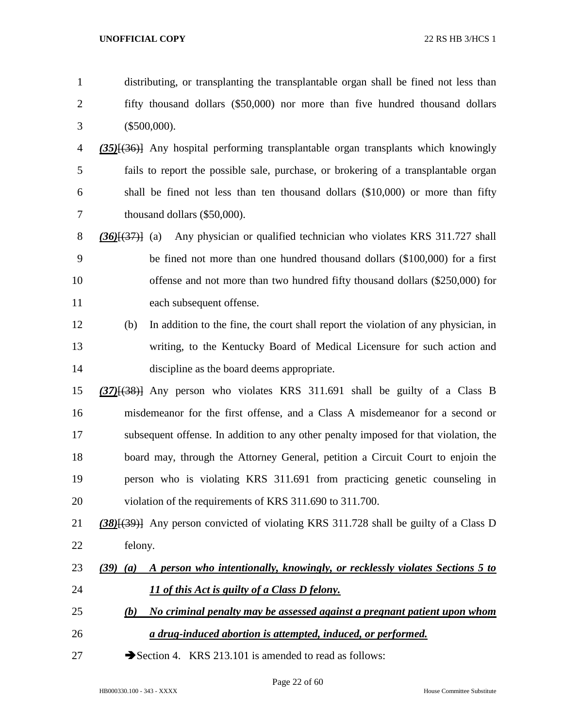| $\mathbf{1}$   | distributing, or transplanting the transplantable organ shall be fined not less than              |
|----------------|---------------------------------------------------------------------------------------------------|
| $\overline{2}$ | fifty thousand dollars (\$50,000) nor more than five hundred thousand dollars                     |
| 3              | $(\$500,000).$                                                                                    |
| 4              | (35)[(36)] Any hospital performing transplantable organ transplants which knowingly               |
| 5              | fails to report the possible sale, purchase, or brokering of a transplantable organ               |
| 6              | shall be fined not less than ten thousand dollars (\$10,000) or more than fifty                   |
| 7              | thousand dollars (\$50,000).                                                                      |
| 8              | Any physician or qualified technician who violates KRS 311.727 shall<br>$(36)(37)$ (a)            |
| 9              | be fined not more than one hundred thousand dollars (\$100,000) for a first                       |
| 10             | offense and not more than two hundred fifty thousand dollars (\$250,000) for                      |
| 11             | each subsequent offense.                                                                          |
| 12             | In addition to the fine, the court shall report the violation of any physician, in<br>(b)         |
| 13             | writing, to the Kentucky Board of Medical Licensure for such action and                           |
| 14             | discipline as the board deems appropriate.                                                        |
| 15             | $(37)$ [ $(38)$ ] Any person who violates KRS 311.691 shall be guilty of a Class B                |
| 16             | misdemeanor for the first offense, and a Class A misdemeanor for a second or                      |
| 17             | subsequent offense. In addition to any other penalty imposed for that violation, the              |
| 18             | board may, through the Attorney General, petition a Circuit Court to enjoin the                   |
| 19             | person who is violating KRS 311.691 from practicing genetic counseling in                         |
| 20             | violation of the requirements of KRS 311.690 to 311.700.                                          |
| 21             | (38) <sup>{(39)}</sup> Any person convicted of violating KRS 311.728 shall be guilty of a Class D |
| 22             | felony.                                                                                           |
| 23             | A person who intentionally, knowingly, or recklessly violates Sections 5 to<br>$(39)$ $(a)$       |
| 24             | 11 of this Act is guilty of a Class D felony.                                                     |
| 25             | No criminal penalty may be assessed against a pregnant patient upon whom<br>(b)                   |
| 26             | a drug-induced abortion is attempted, induced, or performed.                                      |
| 27             | Section 4. KRS 213.101 is amended to read as follows:                                             |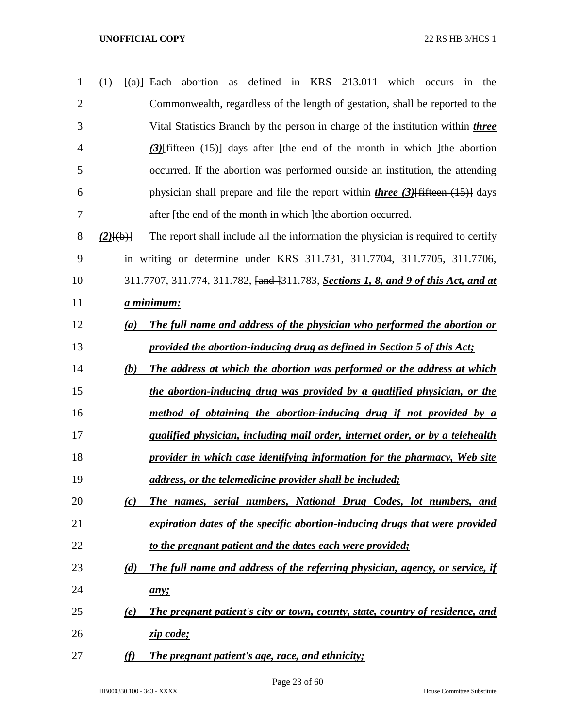| $\mathbf{1}$   | (1)                       | defined in $KRS$ 213.011<br>which<br>$\frac{f(a)}{g(a)}$ Each abortion<br>as<br>the<br>occurs<br>in    |
|----------------|---------------------------|--------------------------------------------------------------------------------------------------------|
| $\overline{2}$ |                           | Commonwealth, regardless of the length of gestation, shall be reported to the                          |
| 3              |                           | Vital Statistics Branch by the person in charge of the institution within <i>three</i>                 |
| 4              |                           | $(3)$ fifteen $(15)$ days after the end of the month in which the abortion                             |
| 5              |                           | occurred. If the abortion was performed outside an institution, the attending                          |
| 6              |                           | physician shall prepare and file the report within <i>three</i> (3) $\left\{\frac{4}{11}\right\}$ days |
| 7              |                           | after <del>[the end of the month in which ]</del> the abortion occurred.                               |
| 8              | $(2)$ $\{(\text{b})\}$    | The report shall include all the information the physician is required to certify                      |
| 9              |                           | in writing or determine under KRS 311.731, 311.7704, 311.7705, 311.7706,                               |
| 10             |                           | 311.7707, 311.774, 311.782, <del>[and ]</del> 311.783, <b>Sections 1, 8, and 9 of this Act, and at</b> |
| 11             |                           | <u>a minimum:</u>                                                                                      |
| 12             | (a)                       | The full name and address of the physician who performed the abortion or                               |
| 13             |                           | provided the abortion-inducing drug as defined in Section 5 of this Act;                               |
| 14             | (b)                       | The address at which the abortion was performed or the address at which                                |
| 15             |                           | the abortion-inducing drug was provided by a qualified physician, or the                               |
| 16             |                           | method of obtaining the abortion-inducing drug if not provided by a                                    |
| 17             |                           | <i>qualified physician, including mail order, internet order, or by a telehealth</i>                   |
| 18             |                           | provider in which case identifying information for the pharmacy, Web site                              |
| 19             |                           | address, or the telemedicine provider shall be included;                                               |
| 20             | (c)                       | The names, serial numbers, National Drug Codes, lot numbers, and                                       |
| 21             |                           | expiration dates of the specific abortion-inducing drugs that were provided                            |
| 22             |                           | to the pregnant patient and the dates each were provided;                                              |
| 23             | (d)                       | The full name and address of the referring physician, agency, or service, if                           |
| 24             |                           | any;                                                                                                   |
| 25             | $\left(\mathbf{e}\right)$ | The pregnant patient's city or town, county, state, country of residence, and                          |
| 26             |                           | zip code;                                                                                              |
| 27             | (f)                       | The pregnant patient's age, race, and ethnicity;                                                       |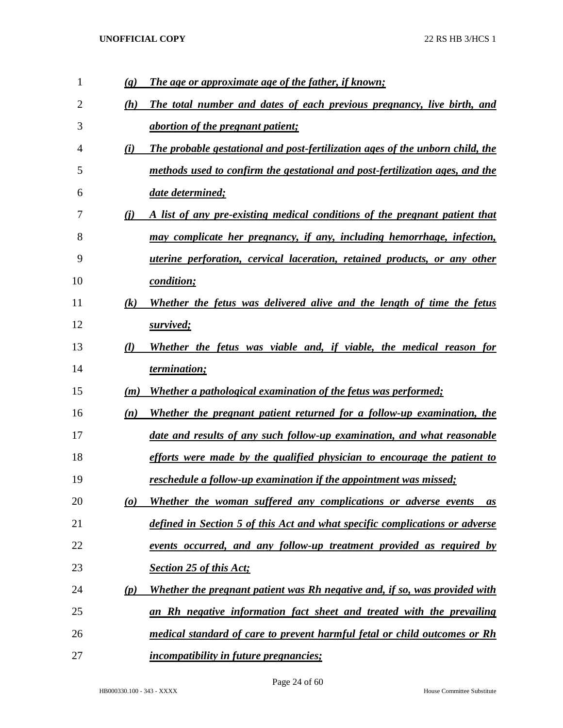| 1  | $\left( \mathbf{g} \right)$ | The age or approximate age of the father, if known;                              |
|----|-----------------------------|----------------------------------------------------------------------------------|
| 2  | (h)                         | The total number and dates of each previous pregnancy, live birth, and           |
| 3  |                             | <i><u>abortion of the pregnant patient;</u></i>                                  |
| 4  | (i)                         | The probable gestational and post-fertilization ages of the unborn child, the    |
| 5  |                             | methods used to confirm the gestational and post-fertilization ages, and the     |
| 6  |                             | date determined;                                                                 |
| 7  | (i)                         | A list of any pre-existing medical conditions of the pregnant patient that       |
| 8  |                             | may complicate her pregnancy, if any, including hemorrhage, infection,           |
| 9  |                             | <i>uterine perforation, cervical laceration, retained products, or any other</i> |
| 10 |                             | <i>condition;</i>                                                                |
| 11 | $(\mathbf{k})$              | Whether the fetus was delivered alive and the length of time the fetus           |
| 12 |                             | survived;                                                                        |
| 13 | $\mathcal{U}$               | Whether the fetus was viable and, if viable, the medical reason for              |
| 14 |                             | <i>termination;</i>                                                              |
| 15 | (m)                         | Whether a pathological examination of the fetus was performed;                   |
| 16 | (n)                         | Whether the pregnant patient returned for a follow-up examination, the           |
| 17 |                             | date and results of any such follow-up examination, and what reasonable          |
| 18 |                             | efforts were made by the qualified physician to encourage the patient to         |
| 19 |                             | reschedule a follow-up examination if the appointment was missed;                |
| 20 | $\boldsymbol{\omega}$       | Whether the woman suffered any complications or adverse events<br>as             |
| 21 |                             |                                                                                  |
|    |                             | defined in Section 5 of this Act and what specific complications or adverse      |
| 22 |                             | events occurred, and any follow-up treatment provided as required by             |
| 23 |                             | <b>Section 25 of this Act;</b>                                                   |
| 24 | (p)                         | Whether the pregnant patient was Rh negative and, if so, was provided with       |
| 25 |                             | an Rh negative information fact sheet and treated with the prevailing            |
| 26 |                             | medical standard of care to prevent harmful fetal or child outcomes or Rh        |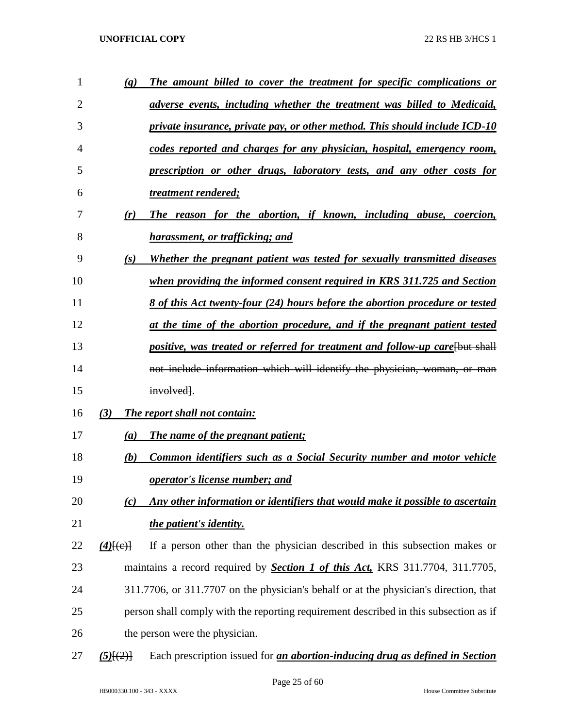| 1              | (q)         | The amount billed to cover the treatment for specific complications or                |
|----------------|-------------|---------------------------------------------------------------------------------------|
| $\overline{2}$ |             | adverse events, including whether the treatment was billed to Medicaid,               |
| 3              |             | private insurance, private pay, or other method. This should include ICD-10           |
| 4              |             | codes reported and charges for any physician, hospital, emergency room,               |
| 5              |             | prescription or other drugs, laboratory tests, and any other costs for                |
| 6              |             | treatment rendered;                                                                   |
| 7              | (r)         | The reason for the abortion, if known, including abuse, coercion,                     |
| 8              |             | harassment, or trafficking; and                                                       |
| 9              | (s)         | Whether the pregnant patient was tested for sexually transmitted diseases             |
| 10             |             | when providing the informed consent required in KRS 311.725 and Section               |
| 11             |             | 8 of this Act twenty-four (24) hours before the abortion procedure or tested          |
| 12             |             | at the time of the abortion procedure, and if the pregnant patient tested             |
| 13             |             | positive, was treated or referred for treatment and follow-up care [but shall         |
| 14             |             | not include information which will identify the physician, woman, or man              |
| 15             |             | involved.                                                                             |
| 16             | (3)         | The report shall not contain:                                                         |
| 17             | (a)         | The name of the pregnant patient;                                                     |
| 18             | (b)         | Common identifiers such as a Social Security number and motor vehicle                 |
| 19             |             | <i>operator's license number; and</i>                                                 |
| 20             | (c)         | Any other information or identifiers that would make it possible to ascertain         |
| 21             |             | the patient's identity.                                                               |
| 22             | $(4)$ [(e)] | If a person other than the physician described in this subsection makes or            |
| 23             |             | maintains a record required by <b>Section 1 of this Act</b> , KRS 311.7704, 311.7705, |
| 24             |             | 311.7706, or 311.7707 on the physician's behalf or at the physician's direction, that |
| 25             |             | person shall comply with the reporting requirement described in this subsection as if |
| 26             |             | the person were the physician.                                                        |
| 27             | $(5)$ $(2)$ | Each prescription issued for <i>an abortion-inducing drug as defined in Section</i>   |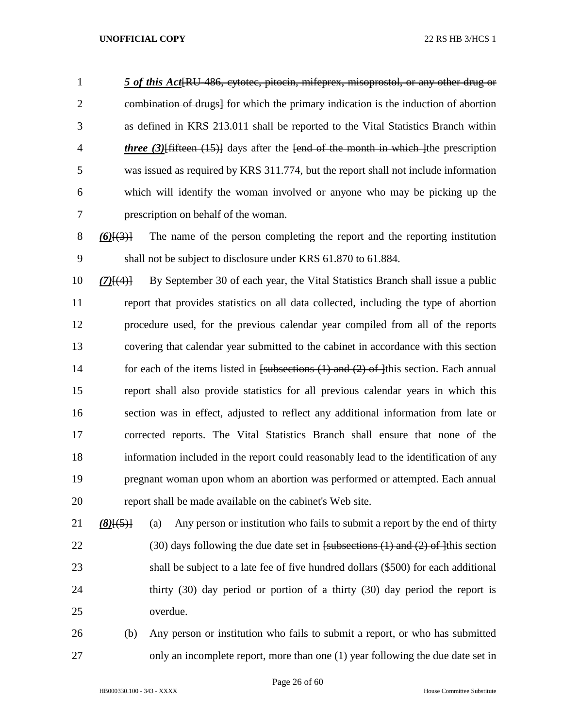*5 of this Act*[RU-486, cytotec, pitocin, mifeprex, misoprostol, or any other drug or combination of drugs] for which the primary indication is the induction of abortion as defined in KRS 213.011 shall be reported to the Vital Statistics Branch within *three (3)*[fifteen (15)] days after the [end of the month in which ]the prescription was issued as required by KRS 311.774, but the report shall not include information which will identify the woman involved or anyone who may be picking up the prescription on behalf of the woman.

 *(6)*[(3)] The name of the person completing the report and the reporting institution shall not be subject to disclosure under KRS 61.870 to 61.884.

 *(7)*[(4)] By September 30 of each year, the Vital Statistics Branch shall issue a public report that provides statistics on all data collected, including the type of abortion procedure used, for the previous calendar year compiled from all of the reports covering that calendar year submitted to the cabinet in accordance with this section 14 for each of the items listed in [subsections (1) and (2) of ]this section. Each annual report shall also provide statistics for all previous calendar years in which this section was in effect, adjusted to reflect any additional information from late or corrected reports. The Vital Statistics Branch shall ensure that none of the information included in the report could reasonably lead to the identification of any pregnant woman upon whom an abortion was performed or attempted. Each annual report shall be made available on the cabinet's Web site.

 *(8)*[(5)] (a) Any person or institution who fails to submit a report by the end of thirty 22 (30) days following the due date set in  $f$ subsections (1) and (2) of 1<sup>this</sup> section shall be subject to a late fee of five hundred dollars (\$500) for each additional thirty (30) day period or portion of a thirty (30) day period the report is overdue.

 (b) Any person or institution who fails to submit a report, or who has submitted only an incomplete report, more than one (1) year following the due date set in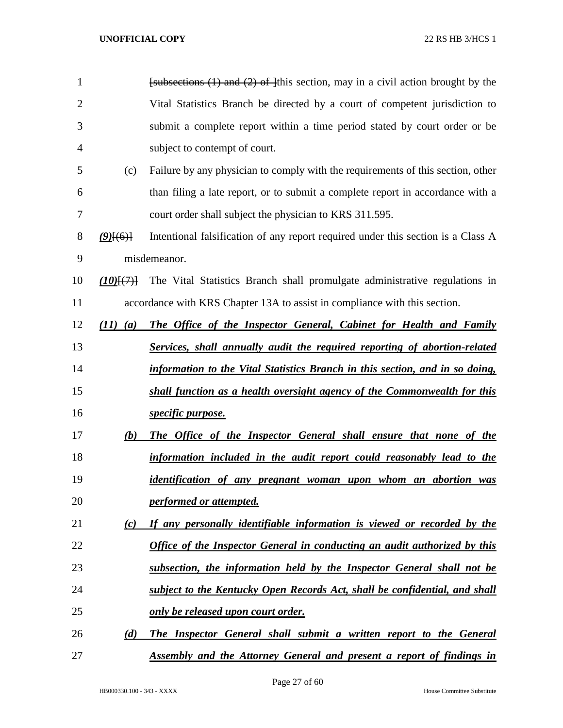| 1              |                       | $f$ subsections (1) and (2) of $f$ this section, may in a civil action brought by the |
|----------------|-----------------------|---------------------------------------------------------------------------------------|
| $\overline{2}$ |                       | Vital Statistics Branch be directed by a court of competent jurisdiction to           |
| 3              |                       | submit a complete report within a time period stated by court order or be             |
| 4              |                       | subject to contempt of court.                                                         |
| 5              | (c)                   | Failure by any physician to comply with the requirements of this section, other       |
| 6              |                       | than filing a late report, or to submit a complete report in accordance with a        |
| 7              |                       | court order shall subject the physician to KRS 311.595.                               |
| 8              | $(9)$ [(6)]           | Intentional falsification of any report required under this section is a Class A      |
| 9              |                       | misdemeanor.                                                                          |
| 10             | $(10)$ $\{$ $\}$ $\}$ | The Vital Statistics Branch shall promulgate administrative regulations in            |
| 11             |                       | accordance with KRS Chapter 13A to assist in compliance with this section.            |
| 12             | (11)<br>(a)           | The Office of the Inspector General, Cabinet for Health and Family                    |
| 13             |                       | <b>Services, shall annually audit the required reporting of abortion-related</b>      |
| 14             |                       | information to the Vital Statistics Branch in this section, and in so doing,          |
| 15             |                       | shall function as a health oversight agency of the Commonwealth for this              |
| 16             |                       | <i>specific purpose.</i>                                                              |
| 17             | (b)                   | The Office of the Inspector General shall ensure that none of the                     |
| 18             |                       | information included in the audit report could reasonably lead to the                 |
| 19             |                       | identification of any pregnant woman upon whom an abortion was                        |
| 20             |                       | performed or attempted.                                                               |
| 21             | $\left( c\right)$     | If any personally identifiable information is viewed or recorded by the               |
| 22             |                       | <b>Office of the Inspector General in conducting an audit authorized by this</b>      |
| 23             |                       | subsection, the information held by the Inspector General shall not be                |
| 24             |                       | subject to the Kentucky Open Records Act, shall be confidential, and shall            |
| 25             |                       | <u>only be released upon court order.</u>                                             |
| 26             | (d)                   | The Inspector General shall submit a written report to the General                    |
| 27             |                       | <b>Assembly and the Attorney General and present a report of findings in</b>          |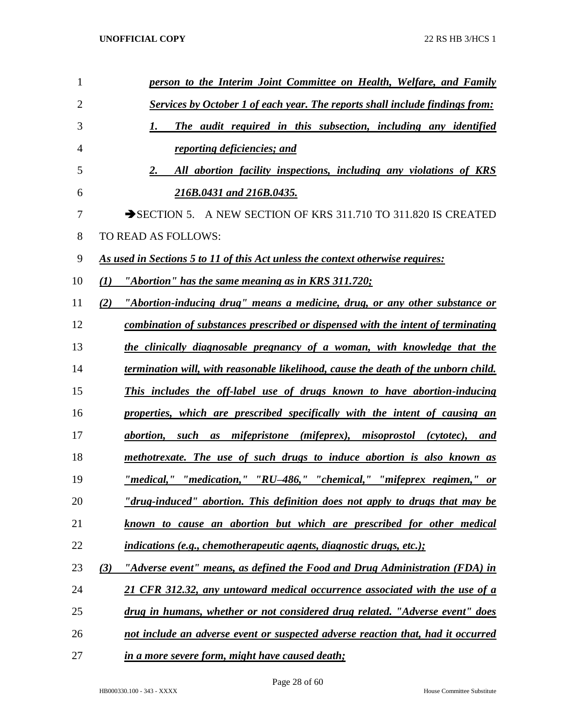| $\mathbf{1}$   | person to the Interim Joint Committee on Health, Welfare, and Family                |
|----------------|-------------------------------------------------------------------------------------|
| $\overline{2}$ | <b>Services by October 1 of each year. The reports shall include findings from:</b> |
| 3              | The audit required in this subsection, including any identified<br>1.               |
| 4              | reporting deficiencies; and                                                         |
| 5              | All abortion facility inspections, including any violations of KRS<br>2.            |
| 6              | 216B.0431 and 216B.0435.                                                            |
| 7              | SECTION 5. A NEW SECTION OF KRS 311.710 TO 311.820 IS CREATED                       |
| 8              | TO READ AS FOLLOWS:                                                                 |
| 9              | As used in Sections 5 to 11 of this Act unless the context otherwise requires:      |
| 10             | "Abortion" has the same meaning as in KRS 311.720;<br>(1)                           |
| 11             | "Abortion-inducing drug" means a medicine, drug, or any other substance or<br>(2)   |
| 12             | combination of substances prescribed or dispensed with the intent of terminating    |
| 13             | the clinically diagnosable pregnancy of a woman, with knowledge that the            |
| 14             | termination will, with reasonable likelihood, cause the death of the unborn child.  |
| 15             | This includes the off-label use of drugs known to have abortion-inducing            |
| 16             | properties, which are prescribed specifically with the intent of causing an         |
| 17             | abortion, such as mifepristone (mifeprex), misoprostol (cytotec), and               |
| 18             | methotrexate. The use of such drugs to induce abortion is also known as             |
| 19             | <u>"medical," "medication," "RU-486," "chemical," "mifeprex regimen," or</u>        |
| 20             | "drug-induced" abortion. This definition does not apply to drugs that may be        |
| 21             | known to cause an abortion but which are prescribed for other medical               |
| 22             | <i>indications (e.g., chemotherapeutic agents, diagnostic drugs, etc.);</i>         |
| 23             | (3)<br>"Adverse event" means, as defined the Food and Drug Administration (FDA) in  |
| 24             | 21 CFR 312.32, any untoward medical occurrence associated with the use of a         |
| 25             | drug in humans, whether or not considered drug related. "Adverse event" does        |
| 26             | not include an adverse event or suspected adverse reaction that, had it occurred    |
| 27             | in a more severe form, might have caused death;                                     |

Page 28 of 60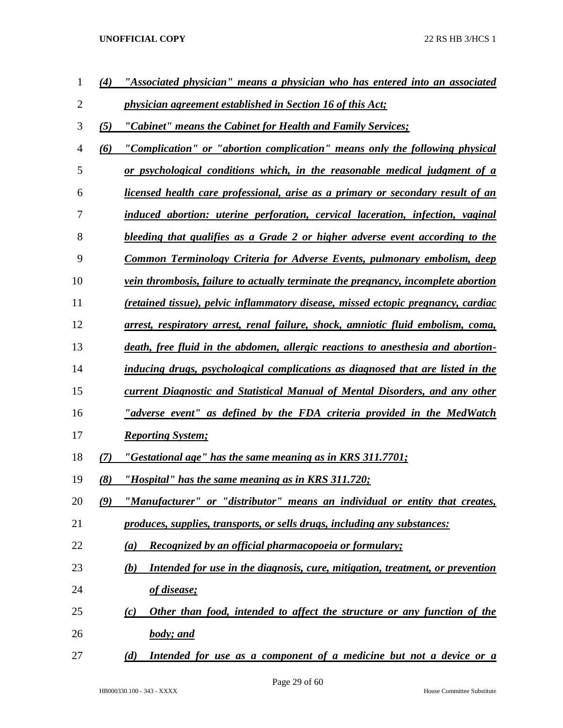| 1  | (4) | "Associated physician" means a physician who has entered into an associated              |
|----|-----|------------------------------------------------------------------------------------------|
| 2  |     | <i>physician agreement established in Section 16 of this Act;</i>                        |
| 3  | (5) | "Cabinet" means the Cabinet for Health and Family Services;                              |
| 4  | (6) | "Complication" or "abortion complication" means only the following physical              |
| 5  |     | or psychological conditions which, in the reasonable medical judgment of a               |
| 6  |     | <u>licensed health care professional, arise as a primary or secondary result of an</u>   |
| 7  |     | induced abortion: uterine perforation, cervical laceration, infection, vaginal           |
| 8  |     | bleeding that qualifies as a Grade 2 or higher adverse event according to the            |
| 9  |     | Common Terminology Criteria for Adverse Events, pulmonary embolism, deep                 |
| 10 |     | <i>vein thrombosis, failure to actually terminate the pregnancy, incomplete abortion</i> |
| 11 |     | (retained tissue), pelvic inflammatory disease, missed ectopic pregnancy, cardiac        |
| 12 |     | arrest, respiratory arrest, renal failure, shock, amniotic fluid embolism, coma,         |
| 13 |     | death, free fluid in the abdomen, allergic reactions to anesthesia and abortion-         |
| 14 |     | inducing drugs, psychological complications as diagnosed that are listed in the          |
| 15 |     | current Diagnostic and Statistical Manual of Mental Disorders, and any other             |
| 16 |     | "adverse event" as defined by the FDA criteria provided in the MedWatch                  |
| 17 |     | <b>Reporting System;</b>                                                                 |
| 18 | (7) | "Gestational age" has the same meaning as in KRS 311.7701;                               |
| 19 | (8) | "Hospital" has the same meaning as in KRS 311.720;                                       |
| 20 | (9) | "Manufacturer" or "distributor" means an individual or entity that creates,              |
| 21 |     | produces, supplies, transports, or sells drugs, including any substances:                |
| 22 |     | Recognized by an official pharmacopoeia or formulary;<br>(a)                             |
| 23 |     | Intended for use in the diagnosis, cure, mitigation, treatment, or prevention<br>(b)     |
| 24 |     | <u>of disease;</u>                                                                       |
| 25 |     | Other than food, intended to affect the structure or any function of the<br>(c)          |
| 26 |     | <b>body</b> ; and                                                                        |
| 27 |     | Intended for use as a component of a medicine but not a device or a<br>(d)               |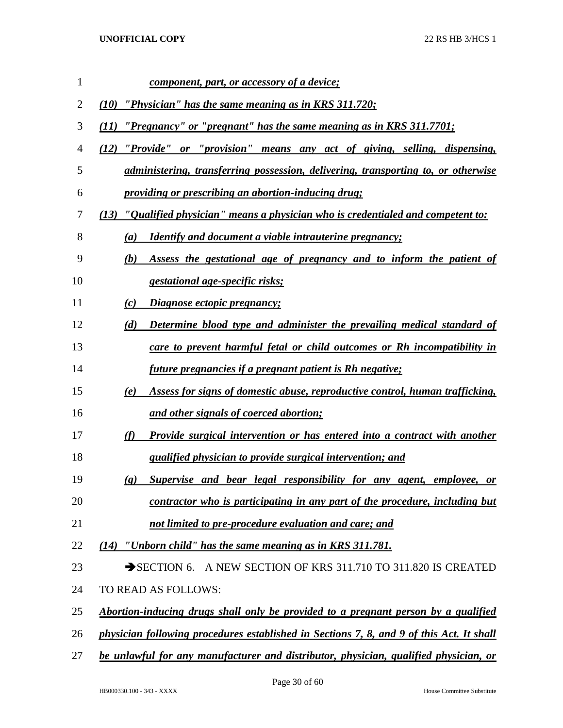| 1  | <u>component, part, or accessory of a device;</u>                                                  |
|----|----------------------------------------------------------------------------------------------------|
| 2  | (10) "Physician" has the same meaning as in KRS 311.720;                                           |
| 3  | "Pregnancy" or "pregnant" has the same meaning as in KRS 311.7701;<br>(11)                         |
| 4  | (12) "Provide" or "provision" means any act of giving, selling, dispensing,                        |
| 5  | administering, transferring possession, delivering, transporting to, or otherwise                  |
| 6  | <i><u><b>providing or prescribing an abortion-inducing drug;</b></u></i>                           |
| 7  | (13) "Qualified physician" means a physician who is credentialed and competent to:                 |
| 8  | <i>Identify and document a viable intrauterine pregnancy;</i><br>$\left(a\right)$                  |
| 9  | Assess the gestational age of pregnancy and to inform the patient of<br>(b)                        |
| 10 | <i>gestational age-specific risks;</i>                                                             |
| 11 | Diagnose ectopic pregnancy;<br>(c)                                                                 |
| 12 | Determine blood type and administer the prevailing medical standard of<br>(d)                      |
| 13 | care to prevent harmful fetal or child outcomes or Rh incompatibility in                           |
| 14 | future pregnancies if a pregnant patient is Rh negative;                                           |
| 15 | Assess for signs of domestic abuse, reproductive control, human trafficking,<br>(e)                |
| 16 | and other signals of coerced abortion;                                                             |
| 17 | Provide surgical intervention or has entered into a contract with another<br>(f)                   |
| 18 | <i>qualified physician to provide surgical intervention; and</i>                                   |
| 19 | Supervise and bear legal responsibility for any agent, employee, or<br>$\left( \mathbf{g} \right)$ |
| 20 | contractor who is participating in any part of the procedure, including but                        |
| 21 | not limited to pre-procedure evaluation and care; and                                              |
| 22 | $(14)$ "Unborn child" has the same meaning as in KRS 311.781.                                      |
| 23 | A NEW SECTION OF KRS 311.710 TO 311.820 IS CREATED<br>$\rightarrow$ SECTION 6.                     |
| 24 | TO READ AS FOLLOWS:                                                                                |
| 25 | Abortion-inducing drugs shall only be provided to a pregnant person by a qualified                 |
| 26 | physician following procedures established in Sections 7, 8, and 9 of this Act. It shall           |
| 27 | be unlawful for any manufacturer and distributor, physician, qualified physician, or               |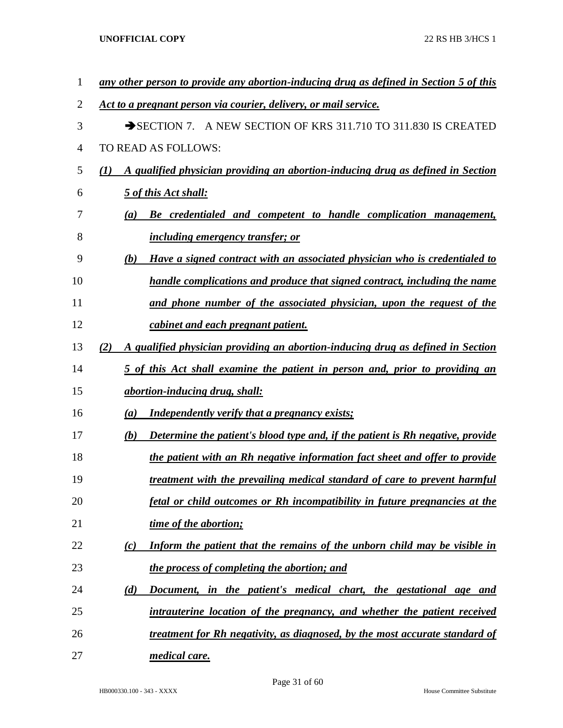| 1              | any other person to provide any abortion-inducing drug as defined in Section 5 of this          |
|----------------|-------------------------------------------------------------------------------------------------|
| $\overline{2}$ | Act to a pregnant person via courier, delivery, or mail service.                                |
| 3              | SECTION 7. A NEW SECTION OF KRS 311.710 TO 311.830 IS CREATED                                   |
| 4              | TO READ AS FOLLOWS:                                                                             |
| 5              | A qualified physician providing an abortion-inducing drug as defined in Section<br>$\mathbf{U}$ |
| 6              | 5 of this Act shall:                                                                            |
| 7              | Be credentialed and competent to handle complication management,<br>(a)                         |
| 8              | <i>including emergency transfer; or</i>                                                         |
| 9              | Have a signed contract with an associated physician who is credentialed to<br>(b)               |
| 10             | handle complications and produce that signed contract, including the name                       |
| 11             | and phone number of the associated physician, upon the request of the                           |
| 12             | cabinet and each pregnant patient.                                                              |
| 13             | A qualified physician providing an abortion-inducing drug as defined in Section<br>(2)          |
| 14             | 5 of this Act shall examine the patient in person and, prior to providing an                    |
| 15             | abortion-inducing drug, shall:                                                                  |
| 16             | <b>Independently verify that a pregnancy exists;</b><br>(a)                                     |
| 17             | Determine the patient's blood type and, if the patient is Rh negative, provide<br>(b)           |
| 18             | the patient with an Rh negative information fact sheet and offer to provide                     |
| 19             | treatment with the prevailing medical standard of care to prevent harmful                       |
| 20             | fetal or child outcomes or Rh incompatibility in future pregnancies at the                      |
| 21             | time of the abortion;                                                                           |
| 22             | Inform the patient that the remains of the unborn child may be visible in<br>(c)                |
| 23             | the process of completing the abortion; and                                                     |
| 24             | Document, in the patient's medical chart, the gestational age and<br>(d)                        |
| 25             | intrauterine location of the pregnancy, and whether the patient received                        |
| 26             | treatment for Rh negativity, as diagnosed, by the most accurate standard of                     |
| 27             | <i>medical care.</i>                                                                            |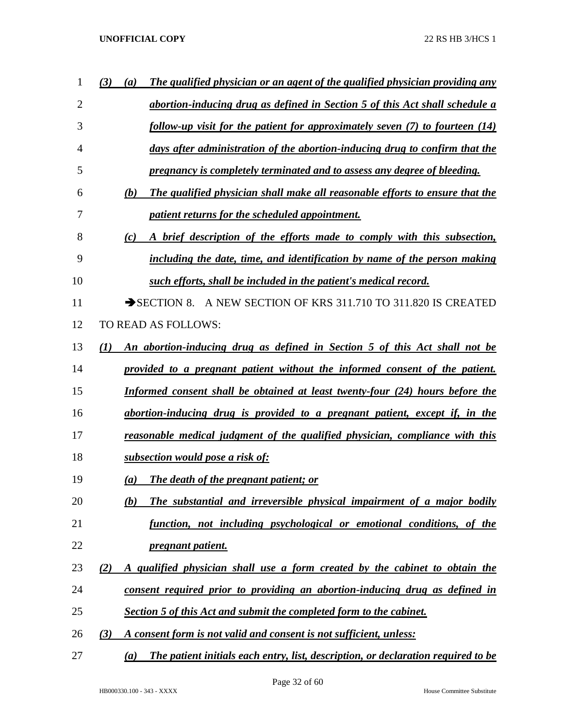| 1              | (3)<br>The qualified physician or an agent of the qualified physician providing any<br>$\left(a\right)$ |
|----------------|---------------------------------------------------------------------------------------------------------|
| $\overline{2}$ | abortion-inducing drug as defined in Section 5 of this Act shall schedule a                             |
| 3              | follow-up visit for the patient for approximately seven $(7)$ to fourteen $(14)$                        |
| 4              | days after administration of the abortion-inducing drug to confirm that the                             |
| 5              | pregnancy is completely terminated and to assess any degree of bleeding.                                |
| 6              | The qualified physician shall make all reasonable efforts to ensure that the<br>(b)                     |
| 7              | patient returns for the scheduled appointment.                                                          |
| 8              | A brief description of the efforts made to comply with this subsection,<br>(c)                          |
| 9              | including the date, time, and identification by name of the person making                               |
| 10             | such efforts, shall be included in the patient's medical record.                                        |
| 11             | SECTION 8. A NEW SECTION OF KRS 311.710 TO 311.820 IS CREATED                                           |
| 12             | TO READ AS FOLLOWS:                                                                                     |
| 13             | (I)<br>An abortion-inducing drug as defined in Section 5 of this Act shall not be                       |
| 14             | provided to a pregnant patient without the informed consent of the patient.                             |
| 15             | Informed consent shall be obtained at least twenty-four (24) hours before the                           |
| 16             | abortion-inducing drug is provided to a pregnant patient, except if, in the                             |
| 17             | reasonable medical judgment of the qualified physician, compliance with this                            |
| 18             | subsection would pose a risk of:                                                                        |
| 19             | <b>The death of the pregnant patient; or</b><br>$\left(a\right)$                                        |
| 20             | The substantial and irreversible physical impairment of a major bodily<br>(b)                           |
| 21             | function, not including psychological or emotional conditions, of the                                   |
| 22             | <i><u><b>pregnant patient.</b></u></i>                                                                  |
| 23             | A qualified physician shall use a form created by the cabinet to obtain the<br>(2)                      |
| 24             | consent required prior to providing an abortion-inducing drug as defined in                             |
| 25             | <b>Section 5 of this Act and submit the completed form to the cabinet.</b>                              |
| 26             | (3)<br>A consent form is not valid and consent is not sufficient, unless:                               |
| 27             | The patient initials each entry, list, description, or declaration required to be<br>(a)                |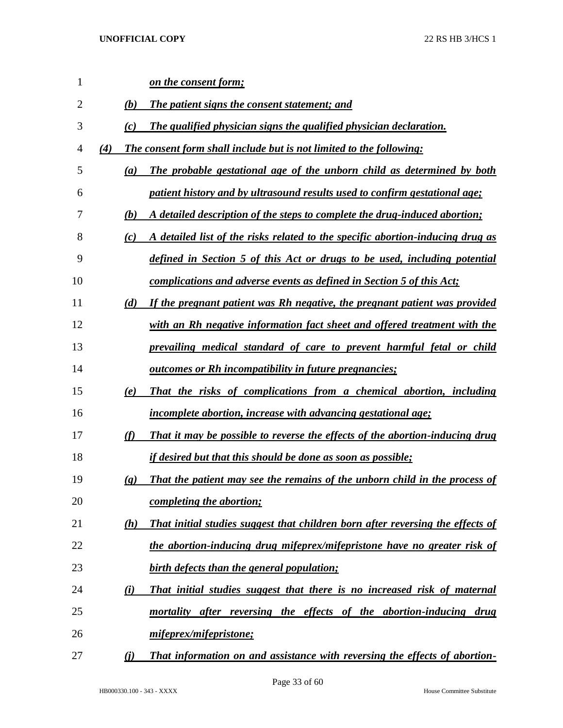| $\mathbf{1}$   |                          | <u>on the consent form;</u>                                                    |
|----------------|--------------------------|--------------------------------------------------------------------------------|
| $\overline{2}$ | (b)                      | The patient signs the consent statement; and                                   |
| 3              | (c)                      | The qualified physician signs the qualified physician declaration.             |
| 4              | (4)                      | The consent form shall include but is not limited to the following:            |
| 5              | (a)                      | The probable gestational age of the unborn child as determined by both         |
| 6              |                          | patient history and by ultrasound results used to confirm gestational age;     |
| 7              | (b)                      | A detailed description of the steps to complete the drug-induced abortion;     |
| 8              | (c)                      | A detailed list of the risks related to the specific abortion-inducing drug as |
| 9              |                          | defined in Section 5 of this Act or drugs to be used, including potential      |
| 10             |                          | complications and adverse events as defined in Section 5 of this Act;          |
| 11             | (d)                      | If the pregnant patient was Rh negative, the pregnant patient was provided     |
| 12             |                          | with an Rh negative information fact sheet and offered treatment with the      |
| 13             |                          | prevailing medical standard of care to prevent harmful fetal or child          |
| 14             |                          | <u><b>outcomes or Rh incompatibility in future pregnancies;</b></u>            |
| 15             | (e)                      | That the risks of complications from a chemical abortion, including            |
| 16             |                          | <i>incomplete abortion, increase with advancing gestational age;</i>           |
| 17             | (f)                      | That it may be possible to reverse the effects of the abortion-inducing drug   |
| 18             |                          | <u>if desired but that this should be done as soon as possible;</u>            |
| 19             | $\left( \varrho \right)$ | That the patient may see the remains of the unborn child in the process of     |
| 20             |                          | completing the abortion;                                                       |
| 21             | (h)                      | That initial studies suggest that children born after reversing the effects of |
| 22             |                          | the abortion-inducing drug mifeprex/mifepristone have no greater risk of       |
| 23             |                          | birth defects than the general population;                                     |
| 24             | (i)                      | That initial studies suggest that there is no increased risk of maternal       |
| 25             |                          | mortality after reversing the effects of the abortion-inducing drug            |
| 26             |                          | mifeprex/mifepristone;                                                         |
| 27             | (i)                      | That information on and assistance with reversing the effects of abortion-     |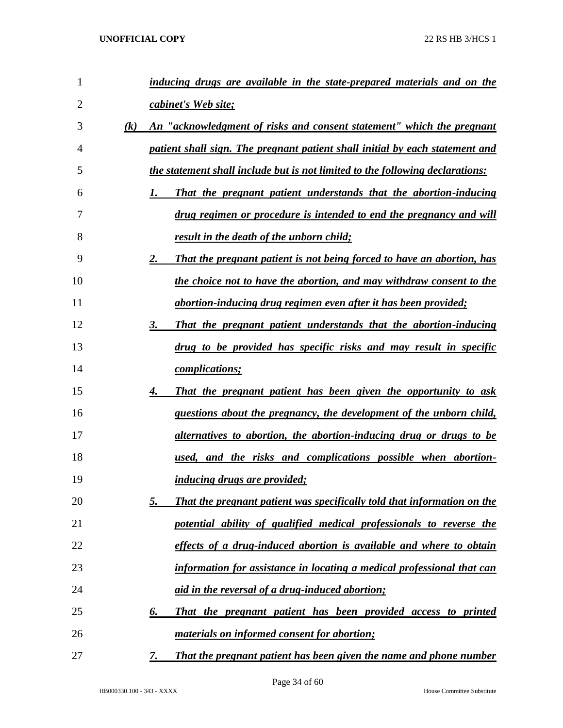| 1              | inducing drugs are available in the state-prepared materials and on the              |
|----------------|--------------------------------------------------------------------------------------|
| $\overline{2}$ | cabinet's Web site;                                                                  |
| 3              | An "acknowledgment of risks and consent statement" which the pregnant<br>(k)         |
| 4              | patient shall sign. The pregnant patient shall initial by each statement and         |
| 5              | the statement shall include but is not limited to the following declarations:        |
| 6              | That the pregnant patient understands that the abortion-inducing<br>1.               |
| 7              | drug regimen or procedure is intended to end the pregnancy and will                  |
| 8              | result in the death of the unborn child;                                             |
| 9              | 2.<br>That the pregnant patient is not being forced to have an abortion, has         |
| 10             | the choice not to have the abortion, and may withdraw consent to the                 |
| 11             | abortion-inducing drug regimen even after it has been provided;                      |
| 12             | 3.<br>That the pregnant patient understands that the abortion-inducing               |
| 13             | drug to be provided has specific risks and may result in specific                    |
| 14             | <i>complications;</i>                                                                |
| 15             | That the pregnant patient has been given the opportunity to ask<br>4.                |
| 16             | questions about the pregnancy, the development of the unborn child,                  |
| 17             | alternatives to abortion, the abortion-inducing drug or drugs to be                  |
| 18             | used, and the risks and complications possible when abortion-                        |
| 19             | <i><u><b>inducing drugs are provided;</b></u></i>                                    |
| 20             | <u>5.</u><br>That the pregnant patient was specifically told that information on the |
| 21             | potential ability of qualified medical professionals to reverse the                  |
| 22             | effects of a drug-induced abortion is available and where to obtain                  |
| 23             | information for assistance in locating a medical professional that can               |
| 24             | <u>aid in the reversal of a drug-induced abortion;</u>                               |
| 25             | That the pregnant patient has been provided access to printed<br>6.                  |
| 26             | <u>materials on informed consent for abortion;</u>                                   |
| 27             | That the pregnant patient has been given the name and phone number<br>7.             |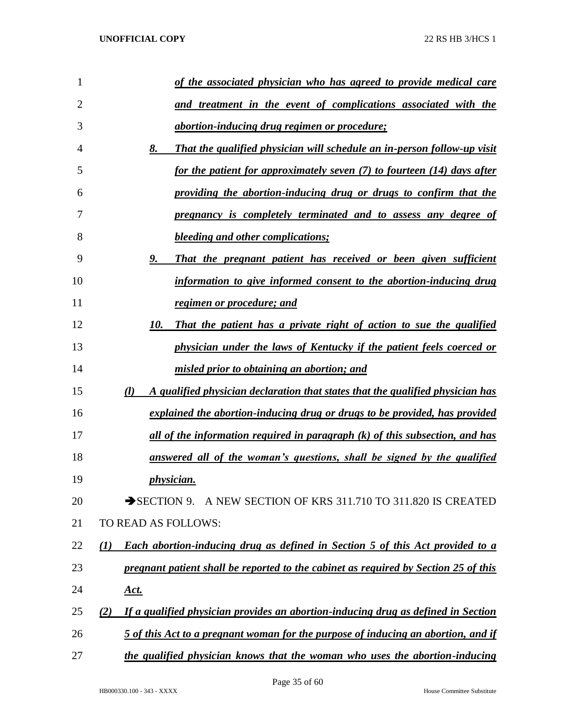| $\mathbf{1}$   | of the associated physician who has agreed to provide medical care                                  |
|----------------|-----------------------------------------------------------------------------------------------------|
| $\overline{2}$ | and treatment in the event of complications associated with the                                     |
| 3              | <u>abortion-inducing drug regimen or procedure;</u>                                                 |
| 4              | 8.<br><b>That the qualified physician will schedule an in-person follow-up visit</b>                |
| 5              | for the patient for approximately seven (7) to fourteen (14) days after                             |
| 6              | providing the abortion-inducing drug or drugs to confirm that the                                   |
| 7              | pregnancy is completely terminated and to assess any degree of                                      |
| 8              | <b>bleeding and other complications;</b>                                                            |
| 9              | <u>9.</u><br>That the pregnant patient has received or been given sufficient                        |
| 10             | information to give informed consent to the abortion-inducing drug                                  |
| 11             | <u>regimen or procedure; and</u>                                                                    |
| 12             | 10.<br>That the patient has a private right of action to sue the qualified                          |
| 13             | physician under the laws of Kentucky if the patient feels coerced or                                |
| 14             | misled prior to obtaining an abortion; and                                                          |
| 15             | $\left( l\right)$<br>A qualified physician declaration that states that the qualified physician has |
| 16             | explained the abortion-inducing drug or drugs to be provided, has provided                          |
| 17             | <u>all of the information required in paragraph (k) of this subsection, and has</u>                 |
| 18             | answered all of the woman's questions, shall be signed by the qualified                             |
| 19             | <i>physician.</i>                                                                                   |
| 20             | SECTION 9. A NEW SECTION OF KRS 311.710 TO 311.820 IS CREATED                                       |
| 21             | TO READ AS FOLLOWS:                                                                                 |
| 22             | <b>Each abortion-inducing drug as defined in Section 5 of this Act provided to a</b><br>(1)         |
| 23             | pregnant patient shall be reported to the cabinet as required by Section 25 of this                 |
| 24             | <u>Act.</u>                                                                                         |
| 25             | If a qualified physician provides an abortion-inducing drug as defined in Section<br>(2)            |
| 26             | 5 of this Act to a pregnant woman for the purpose of inducing an abortion, and if                   |
| 27             | the qualified physician knows that the woman who uses the abortion-inducing                         |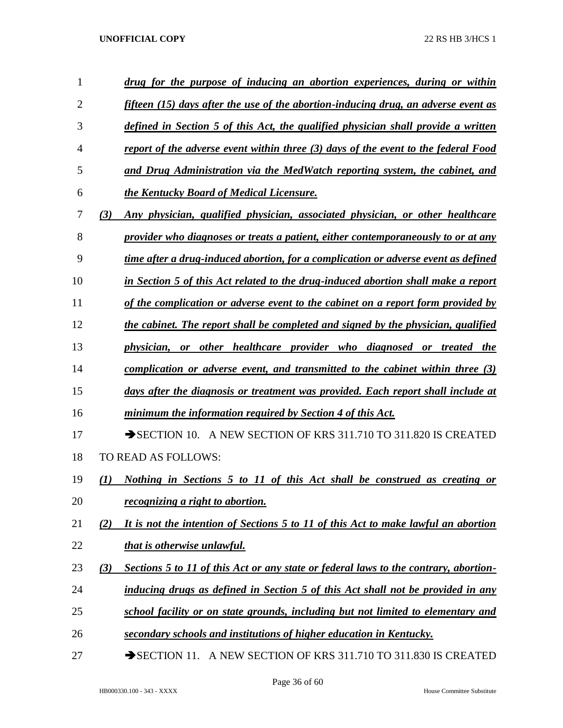| 1              | drug for the purpose of inducing an abortion experiences, during or within                    |
|----------------|-----------------------------------------------------------------------------------------------|
| $\overline{2}$ | fifteen (15) days after the use of the abortion-inducing drug, an adverse event as            |
| 3              | defined in Section 5 of this Act, the qualified physician shall provide a written             |
| 4              | report of the adverse event within three (3) days of the event to the federal Food            |
| 5              | and Drug Administration via the MedWatch reporting system, the cabinet, and                   |
| 6              | the Kentucky Board of Medical Licensure.                                                      |
| 7              | Any physician, qualified physician, associated physician, or other healthcare<br>(3)          |
| 8              | provider who diagnoses or treats a patient, either contemporaneously to or at any             |
| 9              | time after a drug-induced abortion, for a complication or adverse event as defined            |
| 10             | in Section 5 of this Act related to the drug-induced abortion shall make a report             |
| 11             | of the complication or adverse event to the cabinet on a report form provided by              |
| 12             | the cabinet. The report shall be completed and signed by the physician, qualified             |
| 13             | physician, or other healthcare provider who diagnosed or treated the                          |
| 14             | complication or adverse event, and transmitted to the cabinet within three $(3)$              |
| 15             | days after the diagnosis or treatment was provided. Each report shall include at              |
| 16             | minimum the information required by Section 4 of this Act.                                    |
| 17             | $\rightarrow$ SECTION 10. A NEW SECTION OF KRS 311.710 TO 311.820 IS CREATED                  |
| 18             | TO READ AS FOLLOWS:                                                                           |
| 19             | Nothing in Sections 5 to 11 of this Act shall be construed as creating or<br>$\mathcal{L}(I)$ |
| 20             | <i>recognizing a right to abortion.</i>                                                       |
| 21             | It is not the intention of Sections 5 to 11 of this Act to make lawful an abortion<br>(2)     |
| 22             | that is otherwise unlawful.                                                                   |
| 23             | Sections 5 to 11 of this Act or any state or federal laws to the contrary, abortion-<br>(3)   |
| 24             | inducing drugs as defined in Section 5 of this Act shall not be provided in any               |
| 25             | school facility or on state grounds, including but not limited to elementary and              |
| 26             | secondary schools and institutions of higher education in Kentucky.                           |
| 27             | SECTION 11. A NEW SECTION OF KRS 311.710 TO 311.830 IS CREATED                                |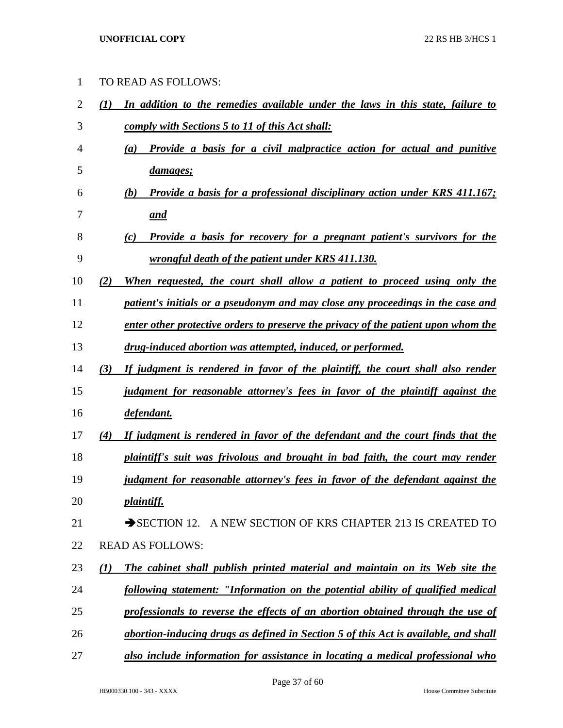TO READ AS FOLLOWS:

 *(1) In addition to the remedies available under the laws in this state, failure to comply with Sections 5 to 11 of this Act shall: (a) Provide a basis for a civil malpractice action for actual and punitive damages; (b) Provide a basis for a professional disciplinary action under KRS 411.167; and (c) Provide a basis for recovery for a pregnant patient's survivors for the wrongful death of the patient under KRS 411.130. (2) When requested, the court shall allow a patient to proceed using only the patient's initials or a pseudonym and may close any proceedings in the case and enter other protective orders to preserve the privacy of the patient upon whom the drug-induced abortion was attempted, induced, or performed. (3) If judgment is rendered in favor of the plaintiff, the court shall also render judgment for reasonable attorney's fees in favor of the plaintiff against the defendant. (4) If judgment is rendered in favor of the defendant and the court finds that the plaintiff's suit was frivolous and brought in bad faith, the court may render judgment for reasonable attorney's fees in favor of the defendant against the plaintiff.* 21 SECTION 12. A NEW SECTION OF KRS CHAPTER 213 IS CREATED TO READ AS FOLLOWS: *(1) The cabinet shall publish printed material and maintain on its Web site the following statement: "Information on the potential ability of qualified medical professionals to reverse the effects of an abortion obtained through the use of abortion-inducing drugs as defined in Section 5 of this Act is available, and shall also include information for assistance in locating a medical professional who*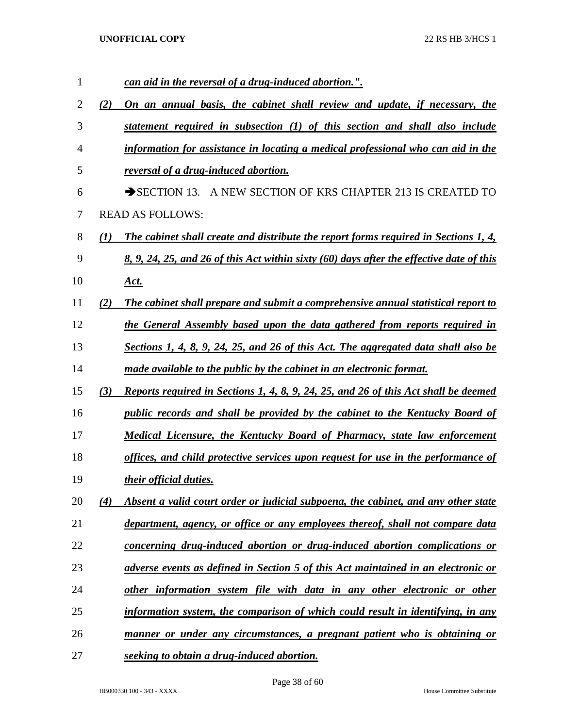| 1  |     | can aid in the reversal of a drug-induced abortion.".                                    |
|----|-----|------------------------------------------------------------------------------------------|
| 2  | (2) | On an annual basis, the cabinet shall review and update, if necessary, the               |
| 3  |     | statement required in subsection (1) of this section and shall also include              |
| 4  |     | information for assistance in locating a medical professional who can aid in the         |
| 5  |     | reversal of a drug-induced abortion.                                                     |
| 6  |     | A NEW SECTION OF KRS CHAPTER 213 IS CREATED TO<br>$\rightarrow$ SECTION 13.              |
| 7  |     | <b>READ AS FOLLOWS:</b>                                                                  |
| 8  | (1) | The cabinet shall create and distribute the report forms required in Sections 1, 4,      |
| 9  |     | 8, 9, 24, 25, and 26 of this Act within sixty (60) days after the effective date of this |
| 10 |     | <u>Act.</u>                                                                              |
| 11 | (2) | The cabinet shall prepare and submit a comprehensive annual statistical report to        |
| 12 |     | the General Assembly based upon the data gathered from reports required in               |
| 13 |     | Sections 1, 4, 8, 9, 24, 25, and 26 of this Act. The aggregated data shall also be       |
| 14 |     | made available to the public by the cabinet in an electronic format.                     |
| 15 | (3) | Reports required in Sections 1, 4, 8, 9, 24, 25, and 26 of this Act shall be deemed      |
| 16 |     | public records and shall be provided by the cabinet to the Kentucky Board of             |
| 17 |     | <b>Medical Licensure, the Kentucky Board of Pharmacy, state law enforcement</b>          |
| 18 |     | offices, and child protective services upon request for use in the performance of        |
| 19 |     | <i>their official duties.</i>                                                            |
| 20 | (4) | Absent a valid court order or judicial subpoena, the cabinet, and any other state        |
| 21 |     | department, agency, or office or any employees thereof, shall not compare data           |
| 22 |     | concerning drug-induced abortion or drug-induced abortion complications or               |
| 23 |     | adverse events as defined in Section 5 of this Act maintained in an electronic or        |
| 24 |     | other information system file with data in any other electronic or other                 |
| 25 |     | information system, the comparison of which could result in identifying, in any          |
| 26 |     | manner or under any circumstances, a pregnant patient who is obtaining or                |
| 27 |     | seeking to obtain a drug-induced abortion.                                               |

Page 38 of 60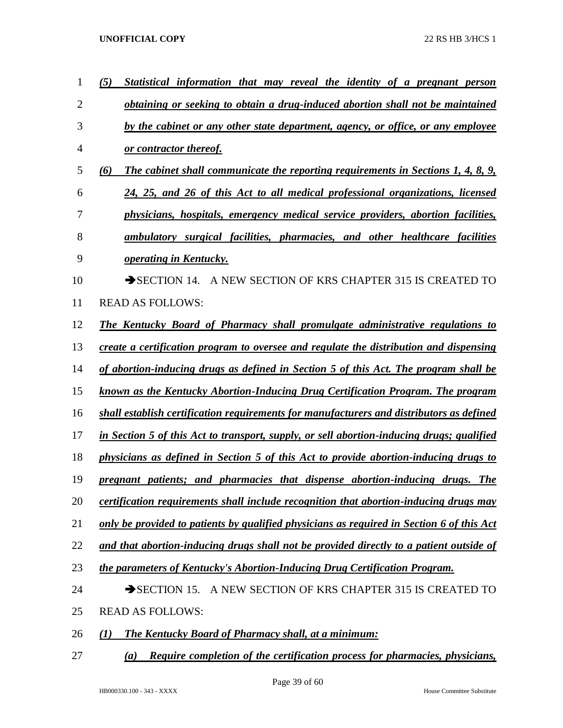| 1              | (5)<br>Statistical information that may reveal the identity of a pregnant person          |
|----------------|-------------------------------------------------------------------------------------------|
| $\overline{2}$ | obtaining or seeking to obtain a drug-induced abortion shall not be maintained            |
| 3              | by the cabinet or any other state department, agency, or office, or any employee          |
| 4              | or contractor thereof.                                                                    |
| 5              | The cabinet shall communicate the reporting requirements in Sections 1, 4, 8, 9,<br>(6)   |
| 6              | 24, 25, and 26 of this Act to all medical professional organizations, licensed            |
| 7              | physicians, hospitals, emergency medical service providers, abortion facilities,          |
| 8              | ambulatory surgical facilities, pharmacies, and other healthcare facilities               |
| 9              | operating in Kentucky.                                                                    |
| 10             | SECTION 14. A NEW SECTION OF KRS CHAPTER 315 IS CREATED TO                                |
| 11             | <b>READ AS FOLLOWS:</b>                                                                   |
| 12             | The Kentucky Board of Pharmacy shall promulgate administrative regulations to             |
| 13             | create a certification program to oversee and regulate the distribution and dispensing    |
| 14             | of abortion-inducing drugs as defined in Section 5 of this Act. The program shall be      |
| 15             | known as the Kentucky Abortion-Inducing Drug Certification Program. The program           |
| 16             | shall establish certification requirements for manufacturers and distributors as defined  |
| 17             | in Section 5 of this Act to transport, supply, or sell abortion-inducing drugs; qualified |
| 18             | physicians as defined in Section 5 of this Act to provide abortion-inducing drugs to      |
| 19             | pregnant patients; and pharmacies that dispense abortion-inducing drugs. The              |
| 20             | certification requirements shall include recognition that abortion-inducing drugs may     |
| 21             | only be provided to patients by qualified physicians as required in Section 6 of this Act |
| 22             | and that abortion-inducing drugs shall not be provided directly to a patient outside of   |
| 23             | the parameters of Kentucky's Abortion-Inducing Drug Certification Program.                |
| 24             | A NEW SECTION OF KRS CHAPTER 315 IS CREATED TO<br>$\rightarrow$ SECTION 15.               |
| 25             | <b>READ AS FOLLOWS:</b>                                                                   |
| 26             | <b>The Kentucky Board of Pharmacy shall, at a minimum:</b><br>(1)                         |
| 27             | Require completion of the certification process for pharmacies, physicians,<br>(a)        |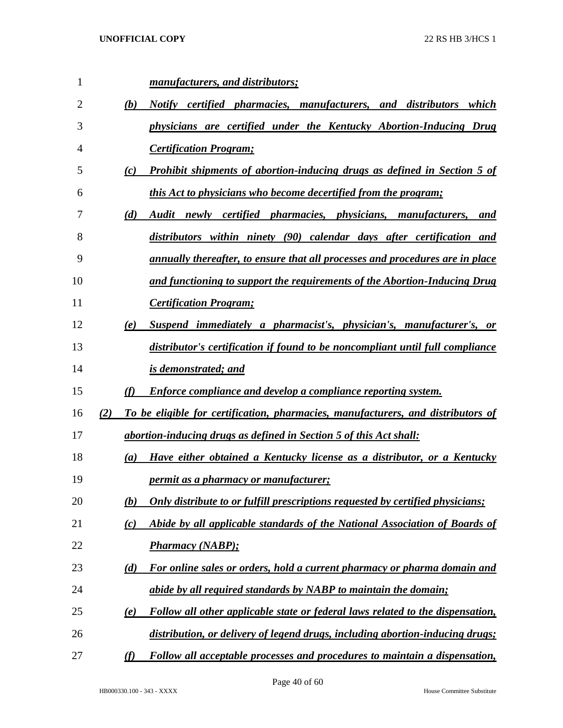| 1  |     |                  | manufacturers, and distributors;                                                     |
|----|-----|------------------|--------------------------------------------------------------------------------------|
| 2  |     | (b)              | Notify certified pharmacies, manufacturers, and distributors which                   |
| 3  |     |                  | physicians are certified under the Kentucky Abortion-Inducing Drug                   |
| 4  |     |                  | <b>Certification Program;</b>                                                        |
| 5  |     | (c)              | <b>Prohibit shipments of abortion-inducing drugs as defined in Section 5 of</b>      |
| 6  |     |                  | this Act to physicians who become decertified from the program;                      |
| 7  |     | (d)              | Audit newly certified pharmacies, physicians, manufacturers, and                     |
| 8  |     |                  | distributors within ninety (90) calendar days after certification and                |
| 9  |     |                  | <u>annually thereafter, to ensure that all processes and procedures are in place</u> |
| 10 |     |                  | and functioning to support the requirements of the Abortion-Inducing Drug            |
| 11 |     |                  | <b>Certification Program;</b>                                                        |
| 12 |     | (e)              | Suspend immediately a pharmacist's, physician's, manufacturer's, or                  |
| 13 |     |                  | distributor's certification if found to be noncompliant until full compliance        |
| 14 |     |                  | is demonstrated; and                                                                 |
| 15 |     | (f)              | <b>Enforce compliance and develop a compliance reporting system.</b>                 |
| 16 | (2) |                  | To be eligible for certification, pharmacies, manufacturers, and distributors of     |
| 17 |     |                  | abortion-inducing drugs as defined in Section 5 of this Act shall:                   |
| 18 |     | $\left(a\right)$ | Have either obtained a Kentucky license as a distributor, or a Kentucky              |
| 19 |     |                  | permit as a pharmacy or manufacturer;                                                |
| 20 |     | (b)              | Only distribute to or fulfill prescriptions requested by certified physicians;       |
| 21 |     | (c)              | Abide by all applicable standards of the National Association of Boards of           |
| 22 |     |                  | <b>Pharmacy (NABP);</b>                                                              |
| 23 |     | (d)              | For online sales or orders, hold a current pharmacy or pharma domain and             |
| 24 |     |                  | abide by all required standards by NABP to maintain the domain;                      |
|    |     | (e)              | Follow all other applicable state or federal laws related to the dispensation,       |
| 25 |     |                  |                                                                                      |
| 26 |     |                  | distribution, or delivery of legend drugs, including abortion-inducing drugs;        |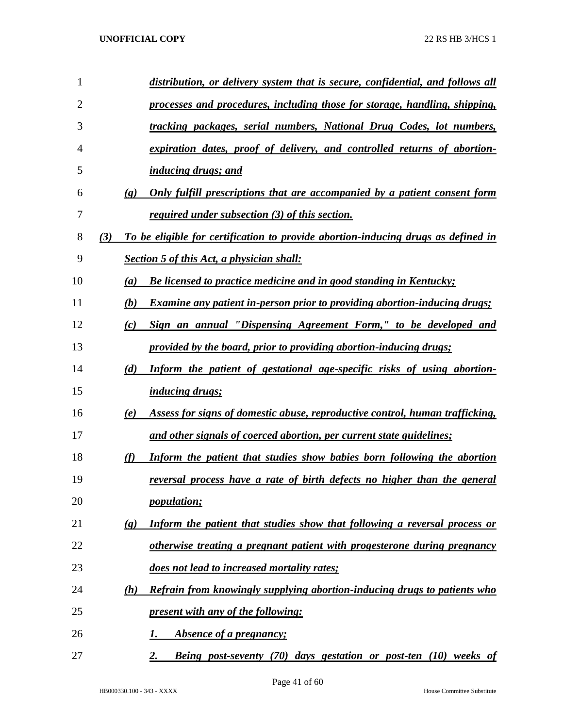| 1  |     |                             | distribution, or delivery system that is secure, confidential, and follows all    |
|----|-----|-----------------------------|-----------------------------------------------------------------------------------|
| 2  |     |                             | processes and procedures, including those for storage, handling, shipping,        |
| 3  |     |                             | tracking packages, serial numbers, National Drug Codes, lot numbers,              |
| 4  |     |                             | expiration dates, proof of delivery, and controlled returns of abortion-          |
| 5  |     |                             | <i>inducing drugs; and</i>                                                        |
| 6  |     | $\left( \mathbf{g} \right)$ | Only fulfill prescriptions that are accompanied by a patient consent form         |
| 7  |     |                             | <i>required under subsection (3) of this section.</i>                             |
| 8  | (3) |                             | To be eligible for certification to provide abortion-inducing drugs as defined in |
| 9  |     |                             | <b>Section 5 of this Act, a physician shall:</b>                                  |
| 10 |     | $\left(a\right)$            | <b>Be licensed to practice medicine and in good standing in Kentucky;</b>         |
| 11 |     | (b)                         | Examine any patient in-person prior to providing abortion-inducing drugs;         |
| 12 |     | (c)                         | Sign an annual "Dispensing Agreement Form," to be developed and                   |
| 13 |     |                             | provided by the board, prior to providing abortion-inducing drugs;                |
| 14 |     | (d)                         | Inform the patient of gestational age-specific risks of using abortion-           |
| 15 |     |                             | <i>inducing drugs;</i>                                                            |
| 16 |     | (e)                         | Assess for signs of domestic abuse, reproductive control, human trafficking,      |
| 17 |     |                             | and other signals of coerced abortion, per current state guidelines;              |
| 18 |     | (f)                         | Inform the patient that studies show babies born following the abortion           |
| 19 |     |                             | reversal process have a rate of birth defects no higher than the general          |
| 20 |     |                             | <i>population;</i>                                                                |
| 21 |     | $\left( \mathbf{g}\right)$  | Inform the patient that studies show that following a reversal process or         |
| 22 |     |                             | otherwise treating a pregnant patient with progesterone during pregnancy          |
| 23 |     |                             | does not lead to increased mortality rates;                                       |
| 24 |     | (h)                         | Refrain from knowingly supplying abortion-inducing drugs to patients who          |
| 25 |     |                             | present with any of the following:                                                |
| 26 |     |                             | Absence of a pregnancy;<br>1.                                                     |
| 27 |     |                             | <b>Being post-seventy (70) days gestation or post-ten (10) weeks of</b><br>2.     |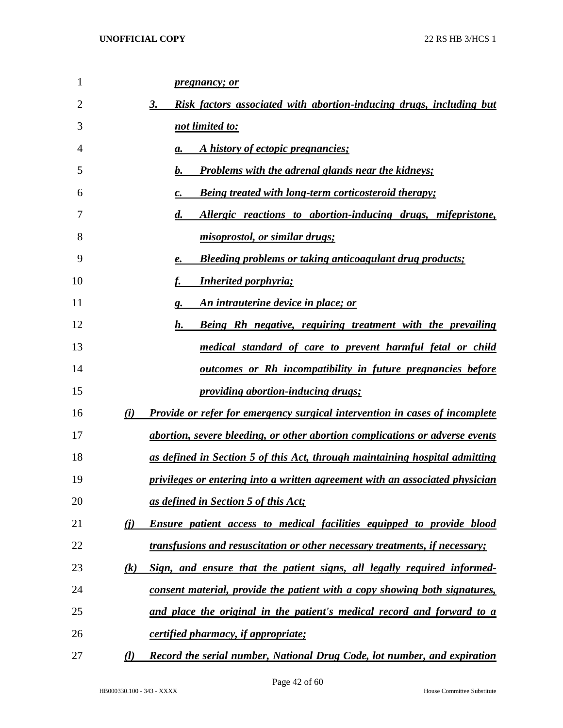| 1  | <i>pregnancy; or</i>                                                                         |
|----|----------------------------------------------------------------------------------------------|
| 2  | 3.<br>Risk factors associated with abortion-inducing drugs, including but                    |
| 3  | not limited to:                                                                              |
| 4  | A history of ectopic pregnancies;<br>a.                                                      |
| 5  | <b>Problems with the adrenal glands near the kidneys;</b><br>b.                              |
| 6  | <b>Being treated with long-term corticosteroid therapy;</b><br>c.                            |
| 7  | Allergic reactions to abortion-inducing drugs, mifepristone,<br>$\boldsymbol{d}$ .           |
| 8  | misoprostol, or similar drugs;                                                               |
| 9  | <b>Bleeding problems or taking anticoagulant drug products;</b><br>е.                        |
| 10 | <b>Inherited porphyria;</b>                                                                  |
| 11 | An intrauterine device in place; or<br>g.                                                    |
| 12 | h.<br>Being Rh negative, requiring treatment with the prevailing                             |
| 13 | medical standard of care to prevent harmful fetal or child                                   |
| 14 | <u>outcomes or Rh incompatibility in future pregnancies before</u>                           |
| 15 | <i><u><b>providing abortion-inducing drugs;</b></u></i>                                      |
| 16 | (i)<br><b>Provide or refer for emergency surgical intervention in cases of incomplete</b>    |
| 17 | abortion, severe bleeding, or other abortion complications or adverse events                 |
| 18 | <u>as defined in Section 5 of this Act, through maintaining hospital admitting</u>           |
| 19 | privileges or entering into a written agreement with an associated physician                 |
| 20 | as defined in Section 5 of this Act;                                                         |
| 21 | $\bf(i)$<br><b>Ensure patient access to medical facilities equipped to provide blood</b>     |
| 22 | <i>transfusions and resuscitation or other necessary treatments, if necessary;</i>           |
| 23 | Sign, and ensure that the patient signs, all legally required informed-<br>$\left( k\right)$ |
| 24 | consent material, provide the patient with a copy showing both signatures,                   |
| 25 | and place the original in the patient's medical record and forward to a                      |
| 26 | certified pharmacy, if appropriate;                                                          |
| 27 | Record the serial number, National Drug Code, lot number, and expiration<br>$\mathcal{L}$    |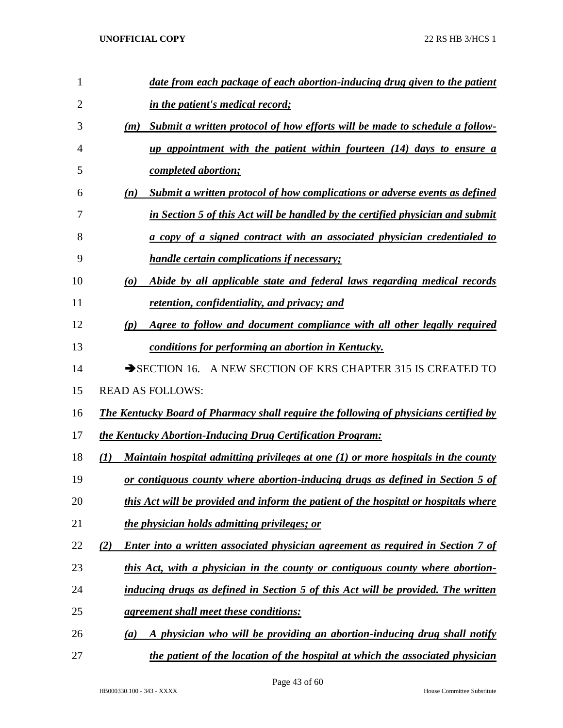| 1              | date from each package of each abortion-inducing drug given to the patient                                  |
|----------------|-------------------------------------------------------------------------------------------------------------|
| $\overline{2}$ | in the patient's medical record;                                                                            |
| 3              | Submit a written protocol of how efforts will be made to schedule a follow-<br>(m)                          |
| 4              | up appointment with the patient within fourteen (14) days to ensure a                                       |
| 5              | <i>completed abortion;</i>                                                                                  |
| 6              | Submit a written protocol of how complications or adverse events as defined<br>(n)                          |
| 7              | in Section 5 of this Act will be handled by the certified physician and submit                              |
| 8              | a copy of a signed contract with an associated physician credentialed to                                    |
| 9              | <i>handle certain complications if necessary;</i>                                                           |
| 10             | Abide by all applicable state and federal laws regarding medical records<br>$\boldsymbol{\left( o \right)}$ |
| 11             | retention, confidentiality, and privacy; and                                                                |
| 12             | Agree to follow and document compliance with all other legally required<br>(p)                              |
| 13             | conditions for performing an abortion in Kentucky.                                                          |
| 14             | SECTION 16. A NEW SECTION OF KRS CHAPTER 315 IS CREATED TO                                                  |
| 15             | <b>READ AS FOLLOWS:</b>                                                                                     |
| 16             | The Kentucky Board of Pharmacy shall require the following of physicians certified by                       |
| 17             | the Kentucky Abortion-Inducing Drug Certification Program:                                                  |
| 18             | Maintain hospital admitting privileges at one (1) or more hospitals in the county<br>(1)                    |
| 19             | or contiguous county where abortion-inducing drugs as defined in Section 5 of                               |
| 20             | this Act will be provided and inform the patient of the hospital or hospitals where                         |
| 21             | the physician holds admitting privileges; or                                                                |
| 22             | <b>Enter into a written associated physician agreement as required in Section 7 of</b><br>(2)               |
| 23             | this Act, with a physician in the county or contiguous county where abortion-                               |
| 24             | inducing drugs as defined in Section 5 of this Act will be provided. The written                            |
| 25             | <i>agreement shall meet these conditions:</i>                                                               |
| 26             | A physician who will be providing an abortion-inducing drug shall notify<br>(a)                             |
| 27             | the patient of the location of the hospital at which the associated physician                               |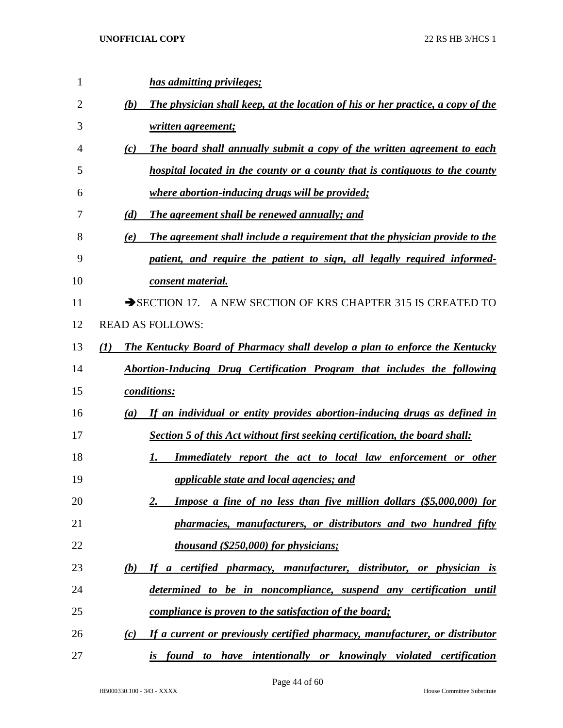| 1  | has admitting privileges;                                                                       |
|----|-------------------------------------------------------------------------------------------------|
| 2  | The physician shall keep, at the location of his or her practice, a copy of the<br>(b)          |
| 3  | written agreement;                                                                              |
| 4  | The board shall annually submit a copy of the written agreement to each<br>(c)                  |
| 5  | hospital located in the county or a county that is contiguous to the county                     |
| 6  | <u>where abortion-inducing drugs will be provided;</u>                                          |
| 7  | (d)<br>The agreement shall be renewed annually; and                                             |
| 8  | The agreement shall include a requirement that the physician provide to the<br>(e)              |
| 9  | patient, and require the patient to sign, all legally required informed-                        |
| 10 | consent material.                                                                               |
| 11 | $\rightarrow$ SECTION 17.<br>A NEW SECTION OF KRS CHAPTER 315 IS CREATED TO                     |
| 12 | <b>READ AS FOLLOWS:</b>                                                                         |
| 13 | The Kentucky Board of Pharmacy shall develop a plan to enforce the Kentucky<br>$\mathcal{L}(I)$ |
| 14 | Abortion-Inducing Drug Certification Program that includes the following                        |
| 15 | <i>conditions:</i>                                                                              |
| 16 | If an individual or entity provides abortion-inducing drugs as defined in<br>(a)                |
| 17 | Section 5 of this Act without first seeking certification, the board shall:                     |
| 18 | Immediately report the act to local law enforcement or other<br>1.                              |
| 19 | applicable state and local agencies; and                                                        |
| 20 | Impose a fine of no less than five million dollars (\$5,000,000) for<br>2.                      |
| 21 | pharmacies, manufacturers, or distributors and two hundred fifty                                |
| 22 | <i>thousand (\$250,000) for physicians;</i>                                                     |
| 23 | If a certified pharmacy, manufacturer, distributor, or physician is<br>(b)                      |
| 24 | determined to be in noncompliance, suspend any certification until                              |
| 25 | <i>compliance is proven to the satisfaction of the board;</i>                                   |
| 26 | If a current or previously certified pharmacy, manufacturer, or distributor<br>(c)              |
| 27 | is found to have intentionally or knowingly violated certification                              |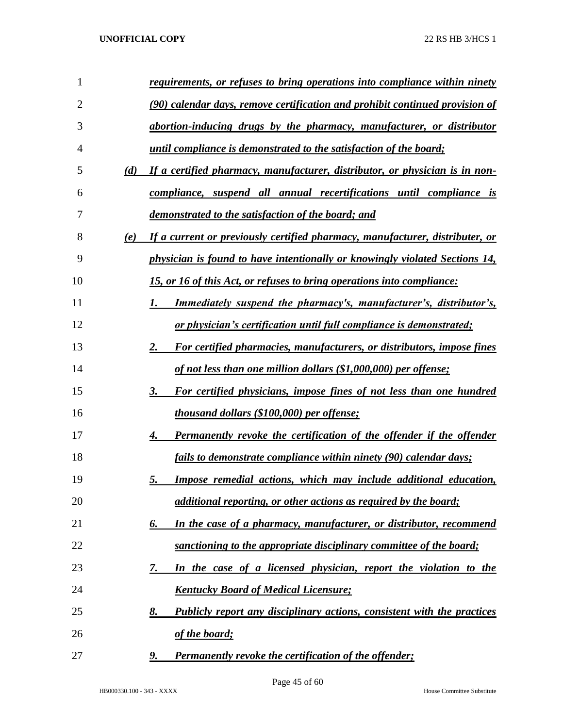| 1              |     | requirements, or refuses to bring operations into compliance within ninety        |
|----------------|-----|-----------------------------------------------------------------------------------|
| $\overline{2}$ |     | (90) calendar days, remove certification and prohibit continued provision of      |
| 3              |     | abortion-inducing drugs by the pharmacy, manufacturer, or distributor             |
| 4              |     | until compliance is demonstrated to the satisfaction of the board;                |
| 5              | (d) | If a certified pharmacy, manufacturer, distributor, or physician is in non-       |
| 6              |     | compliance, suspend all annual recertifications until compliance is               |
| 7              |     | demonstrated to the satisfaction of the board; and                                |
| 8              | (e) | If a current or previously certified pharmacy, manufacturer, distributer, or      |
| 9              |     | physician is found to have intentionally or knowingly violated Sections 14,       |
| 10             |     | 15, or 16 of this Act, or refuses to bring operations into compliance:            |
| 11             |     | <u>Immediately suspend the pharmacy's, manufacturer's, distributor's,</u><br>1.   |
| 12             |     | or physician's certification until full compliance is demonstrated;               |
| 13             |     | 2.<br>For certified pharmacies, manufacturers, or distributors, impose fines      |
| 14             |     | of not less than one million dollars (\$1,000,000) per offense;                   |
| 15             |     | 3.<br>For certified physicians, impose fines of not less than one hundred         |
| 16             |     | <i>thousand dollars (\$100,000) per offense;</i>                                  |
| 17             |     | <b>Permanently revoke the certification of the offender if the offender</b><br>4. |
| 18             |     | fails to demonstrate compliance within ninety (90) calendar days;                 |
| 19             |     | Impose remedial actions, which may include additional education,<br>5.            |
| 20             |     | <i>additional reporting, or other actions as required by the board;</i>           |
| 21             |     | In the case of a pharmacy, manufacturer, or distributor, recommend<br>6.          |
| 22             |     | sanctioning to the appropriate disciplinary committee of the board;               |
| 23             |     | In the case of a licensed physician, report the violation to the<br>7.            |
| 24             |     | <b>Kentucky Board of Medical Licensure;</b>                                       |
| 25             |     | 8.<br>Publicly report any disciplinary actions, consistent with the practices     |
| 26             |     | of the board;                                                                     |
| 27             |     | <b>Permanently revoke the certification of the offender;</b><br><u>9.</u>         |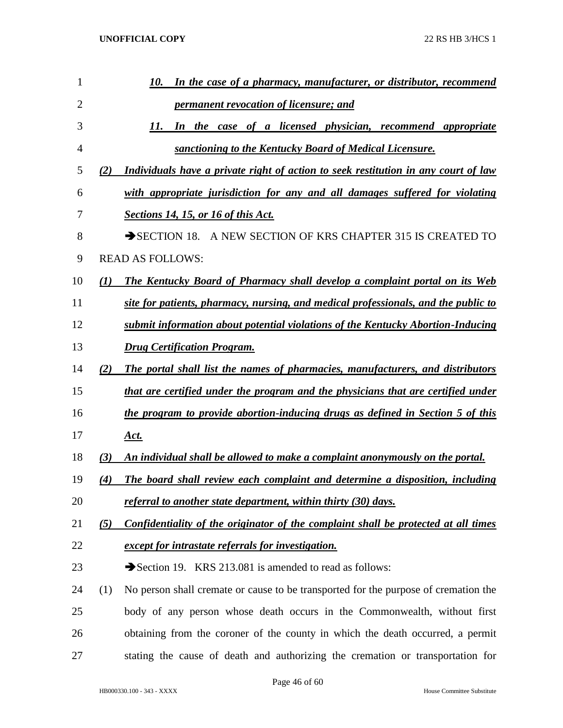| 1  | In the case of a pharmacy, manufacturer, or distributor, recommend<br>10.                  |
|----|--------------------------------------------------------------------------------------------|
| 2  | <i><u><b>permanent revocation of licensure; and</b></u></i>                                |
| 3  | In the case of a licensed physician, recommend appropriate<br>11.                          |
| 4  | sanctioning to the Kentucky Board of Medical Licensure.                                    |
| 5  | Individuals have a private right of action to seek restitution in any court of law<br>(2)  |
| 6  | with appropriate jurisdiction for any and all damages suffered for violating               |
| 7  | <b>Sections 14, 15, or 16 of this Act.</b>                                                 |
| 8  | SECTION 18. A NEW SECTION OF KRS CHAPTER 315 IS CREATED TO                                 |
| 9  | <b>READ AS FOLLOWS:</b>                                                                    |
| 10 | <b>The Kentucky Board of Pharmacy shall develop a complaint portal on its Web</b><br>(I)   |
| 11 | <u>site for patients, pharmacy, nursing, and medical professionals, and the public to</u>  |
| 12 | submit information about potential violations of the Kentucky Abortion-Inducing            |
| 13 | <b>Drug Certification Program.</b>                                                         |
| 14 | The portal shall list the names of pharmacies, manufacturers, and distributors<br>(2)      |
| 15 | <u>that are certified under the program and the physicians that are certified under</u>    |
| 16 | the program to provide abortion-inducing drugs as defined in Section 5 of this             |
| 17 | <u>Act.</u>                                                                                |
| 18 | An individual shall be allowed to make a complaint anonymously on the portal.<br>(3)       |
| 19 | The board shall review each complaint and determine a disposition, including<br>(4)        |
| 20 | referral to another state department, within thirty (30) days.                             |
| 21 | Confidentiality of the originator of the complaint shall be protected at all times<br>(5)  |
| 22 | except for intrastate referrals for investigation.                                         |
| 23 | Section 19. KRS 213.081 is amended to read as follows:                                     |
| 24 | No person shall cremate or cause to be transported for the purpose of cremation the<br>(1) |
| 25 | body of any person whose death occurs in the Commonwealth, without first                   |
| 26 | obtaining from the coroner of the county in which the death occurred, a permit             |
| 27 | stating the cause of death and authorizing the cremation or transportation for             |
|    |                                                                                            |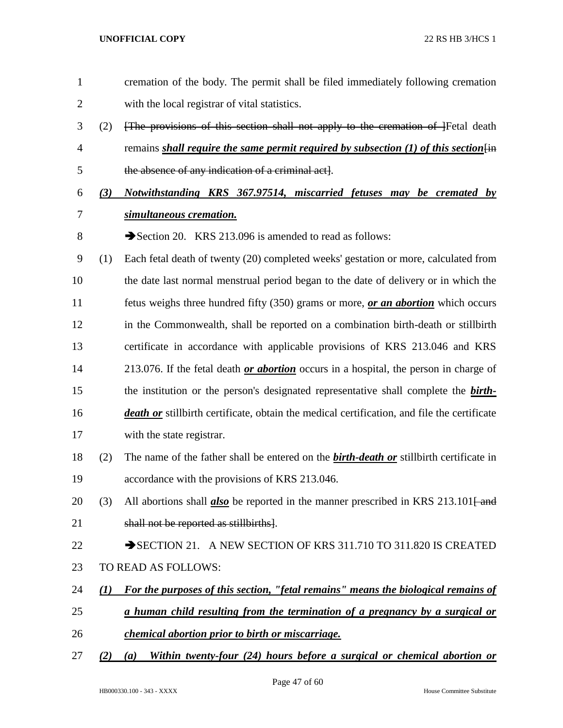with the local registrar of vital statistics. (2) [The provisions of this section shall not apply to the cremation of ]Fetal death 4 remains *shall require the same permit required by subsection (1) of this section*  $\overline{lin}$  the absence of any indication of a criminal act]. *(3) Notwithstanding KRS 367.97514, miscarried fetuses may be cremated by simultaneous cremation.* 8 Section 20. KRS 213.096 is amended to read as follows: (1) Each fetal death of twenty (20) completed weeks' gestation or more, calculated from the date last normal menstrual period began to the date of delivery or in which the fetus weighs three hundred fifty (350) grams or more, *or an abortion* which occurs in the Commonwealth, shall be reported on a combination birth-death or stillbirth certificate in accordance with applicable provisions of KRS 213.046 and KRS 213.076. If the fetal death *or abortion* occurs in a hospital, the person in charge of the institution or the person's designated representative shall complete the *birth- death or* stillbirth certificate, obtain the medical certification, and file the certificate with the state registrar. (2) The name of the father shall be entered on the *birth-death or* stillbirth certificate in accordance with the provisions of KRS 213.046. 20 (3) All abortions shall *also* be reported in the manner prescribed in KRS 213.101<del>[ and</del> shall not be reported as stillbirths]. 22 SECTION 21. A NEW SECTION OF KRS 311.710 TO 311.820 IS CREATED TO READ AS FOLLOWS: *(1) For the purposes of this section, "fetal remains" means the biological remains of a human child resulting from the termination of a pregnancy by a surgical or chemical abortion prior to birth or miscarriage.*

cremation of the body. The permit shall be filed immediately following cremation

*(2) (a) Within twenty-four (24) hours before a surgical or chemical abortion or*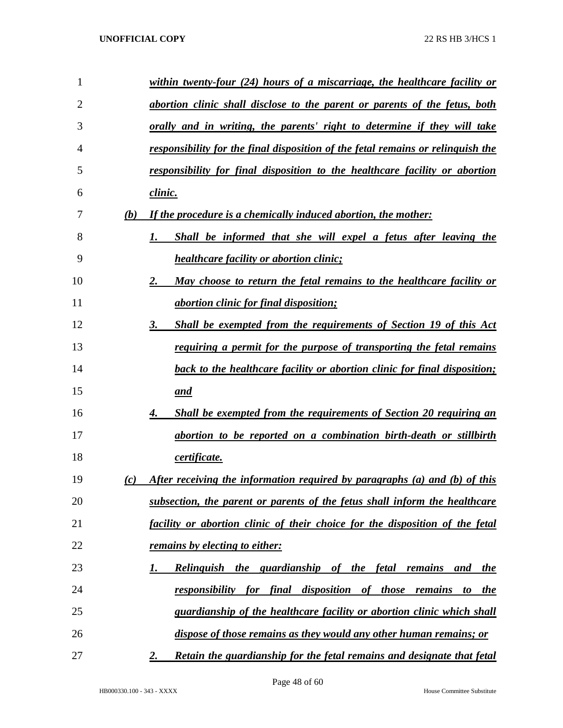| 1              |     | within twenty-four (24) hours of a miscarriage, the healthcare facility or       |
|----------------|-----|----------------------------------------------------------------------------------|
| $\overline{2}$ |     | abortion clinic shall disclose to the parent or parents of the fetus, both       |
| 3              |     | <u>orally and in writing, the parents' right to determine if they will take</u>  |
| 4              |     | responsibility for the final disposition of the fetal remains or relinguish the  |
| 5              |     | responsibility for final disposition to the healthcare facility or abortion      |
| 6              |     | <u>clinic.</u>                                                                   |
| 7              | (b) | If the procedure is a chemically induced abortion, the mother:                   |
| 8              |     | Shall be informed that she will expel a fetus after leaving the<br>1.            |
| 9              |     | <i>healthcare facility or abortion clinic;</i>                                   |
| 10             |     | 2.<br>May choose to return the fetal remains to the healthcare facility or       |
| 11             |     | <i>abortion clinic for final disposition;</i>                                    |
| 12             |     | 3.<br><b>Shall be exempted from the requirements of Section 19 of this Act</b>   |
| 13             |     | requiring a permit for the purpose of transporting the fetal remains             |
| 14             |     | <b>back to the healthcare facility or abortion clinic for final disposition;</b> |
| 15             |     | and                                                                              |
| 16             |     | <b>Shall be exempted from the requirements of Section 20 requiring an</b><br>4.  |
| 17             |     | abortion to be reported on a combination birth-death or stillbirth               |
| 18             |     | certificate.                                                                     |
| 19             | (c) | After receiving the information required by paragraphs (a) and (b) of this       |
| 20             |     | subsection, the parent or parents of the fetus shall inform the healthcare       |
| 21             |     | facility or abortion clinic of their choice for the disposition of the fetal     |
| 22             |     | <u>remains by electing to either:</u>                                            |
| 23             |     | Relinguish the guardianship of the fetal remains<br>and the<br>I.                |
| 24             |     | for final disposition of those remains to<br>responsibility<br><i>the</i>        |
| 25             |     | guardianship of the healthcare facility or abortion clinic which shall           |
| 26             |     | dispose of those remains as they would any other human remains; or               |
| 27             |     | Retain the guardianship for the fetal remains and designate that fetal<br>2.     |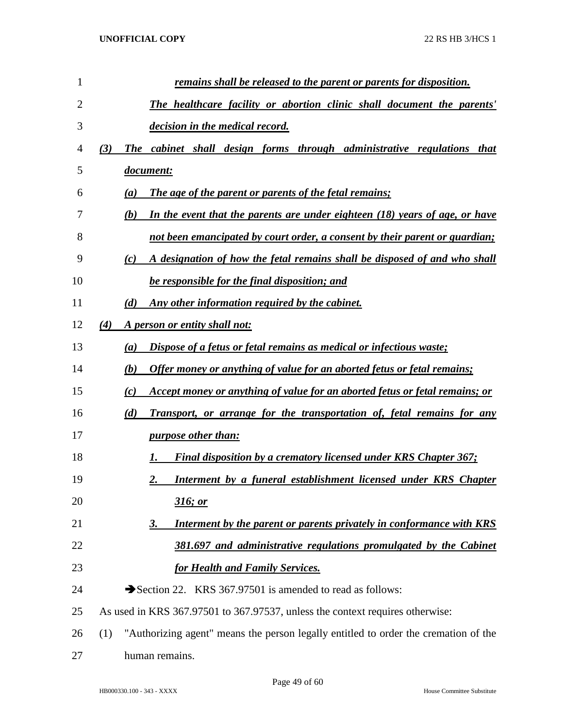| 1  | remains shall be released to the parent or parents for disposition.                        |
|----|--------------------------------------------------------------------------------------------|
| 2  | The healthcare facility or abortion clinic shall document the parents'                     |
| 3  | decision in the medical record.                                                            |
| 4  | The cabinet shall design forms through administrative regulations that<br>(3)              |
| 5  | document:                                                                                  |
| 6  | The age of the parent or parents of the fetal remains;<br>$\left(a\right)$                 |
| 7  | In the event that the parents are under eighteen $(18)$ years of age, or have<br>(b)       |
| 8  | not been emancipated by court order, a consent by their parent or guardian;                |
| 9  | A designation of how the fetal remains shall be disposed of and who shall<br>(c)           |
| 10 | be responsible for the final disposition; and                                              |
| 11 | Any other information required by the cabinet.<br>(d)                                      |
| 12 | (4)<br>A person or entity shall not:                                                       |
| 13 | Dispose of a fetus or fetal remains as medical or infectious waste;<br>$\left(a\right)$    |
| 14 | Offer money or anything of value for an aborted fetus or fetal remains;<br>(b)             |
| 15 | Accept money or anything of value for an aborted fetus or fetal remains; or<br>(c)         |
| 16 | (d)<br><b>Transport, or arrange for the transportation of, fetal remains for any</b>       |
| 17 | <i>purpose other than:</i>                                                                 |
| 18 | Final disposition by a crematory licensed under KRS Chapter 367;<br>1.                     |
| 19 | Interment by a funeral establishment licensed under KRS Chapter<br>2.                      |
| 20 | 316; or                                                                                    |
| 21 | Interment by the parent or parents privately in conformance with KRS<br>3.                 |
| 22 | 381.697 and administrative regulations promulgated by the Cabinet                          |
| 23 | for Health and Family Services.                                                            |
| 24 | Section 22. KRS 367.97501 is amended to read as follows:                                   |
| 25 | As used in KRS 367.97501 to 367.97537, unless the context requires otherwise:              |
| 26 | "Authorizing agent" means the person legally entitled to order the cremation of the<br>(1) |
| 27 | human remains.                                                                             |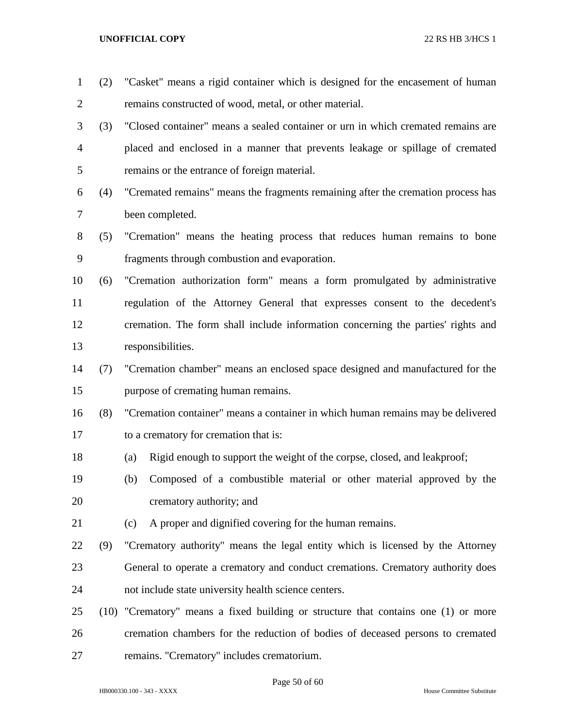| $\mathbf{1}$   | (2) | "Casket" means a rigid container which is designed for the encasement of human     |
|----------------|-----|------------------------------------------------------------------------------------|
| $\overline{2}$ |     | remains constructed of wood, metal, or other material.                             |
| 3              | (3) | "Closed container" means a sealed container or urn in which cremated remains are   |
| $\overline{4}$ |     | placed and enclosed in a manner that prevents leakage or spillage of cremated      |
| 5              |     | remains or the entrance of foreign material.                                       |
| 6              | (4) | "Cremated remains" means the fragments remaining after the cremation process has   |
| 7              |     | been completed.                                                                    |
| 8              | (5) | "Cremation" means the heating process that reduces human remains to bone           |
| 9              |     | fragments through combustion and evaporation.                                      |
| 10             | (6) | "Cremation authorization form" means a form promulgated by administrative          |
| 11             |     | regulation of the Attorney General that expresses consent to the decedent's        |
| 12             |     | cremation. The form shall include information concerning the parties' rights and   |
| 13             |     | responsibilities.                                                                  |
| 14             | (7) | "Cremation chamber" means an enclosed space designed and manufactured for the      |
| 15             |     | purpose of cremating human remains.                                                |
| 16             | (8) | "Cremation container" means a container in which human remains may be delivered    |
| 17             |     | to a crematory for cremation that is:                                              |
| 18             |     | Rigid enough to support the weight of the corpse, closed, and leakproof;<br>(a)    |
| 19             |     | Composed of a combustible material or other material approved by the<br>(b)        |
| 20             |     | crematory authority; and                                                           |
| 21             |     | A proper and dignified covering for the human remains.<br>(c)                      |
| 22             | (9) | "Crematory authority" means the legal entity which is licensed by the Attorney     |
| 23             |     | General to operate a crematory and conduct cremations. Crematory authority does    |
| 24             |     | not include state university health science centers.                               |
| 25             |     | (10) "Crematory" means a fixed building or structure that contains one (1) or more |
| 26             |     | cremation chambers for the reduction of bodies of deceased persons to cremated     |
| 27             |     | remains. "Crematory" includes crematorium.                                         |

Page 50 of 60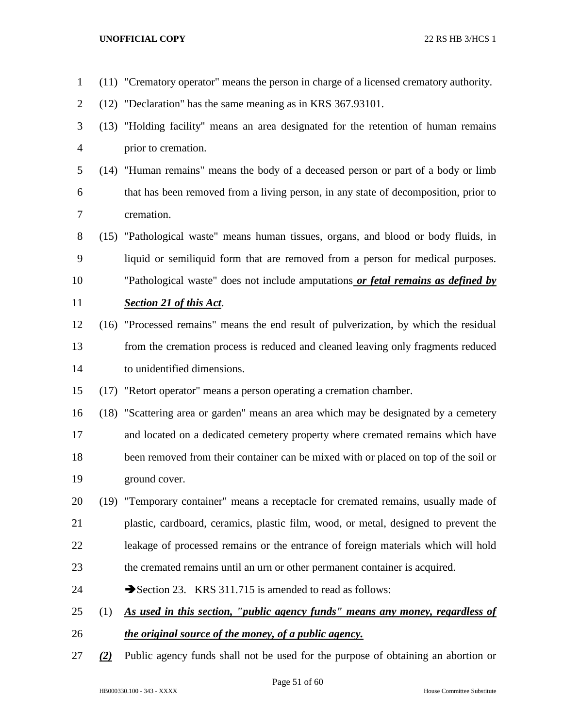(11) "Crematory operator" means the person in charge of a licensed crematory authority. (12) "Declaration" has the same meaning as in KRS 367.93101. (13) "Holding facility" means an area designated for the retention of human remains prior to cremation. (14) "Human remains" means the body of a deceased person or part of a body or limb that has been removed from a living person, in any state of decomposition, prior to cremation. (15) "Pathological waste" means human tissues, organs, and blood or body fluids, in liquid or semiliquid form that are removed from a person for medical purposes. "Pathological waste" does not include amputations *or fetal remains as defined by Section 21 of this Act*. (16) "Processed remains" means the end result of pulverization, by which the residual from the cremation process is reduced and cleaned leaving only fragments reduced to unidentified dimensions. (17) "Retort operator" means a person operating a cremation chamber. (18) "Scattering area or garden" means an area which may be designated by a cemetery and located on a dedicated cemetery property where cremated remains which have been removed from their container can be mixed with or placed on top of the soil or ground cover. (19) "Temporary container" means a receptacle for cremated remains, usually made of plastic, cardboard, ceramics, plastic film, wood, or metal, designed to prevent the leakage of processed remains or the entrance of foreign materials which will hold the cremated remains until an urn or other permanent container is acquired. 24 Section 23. KRS 311.715 is amended to read as follows: (1) *As used in this section, "public agency funds" means any money, regardless of the original source of the money, of a public agency. (2)* Public agency funds shall not be used for the purpose of obtaining an abortion or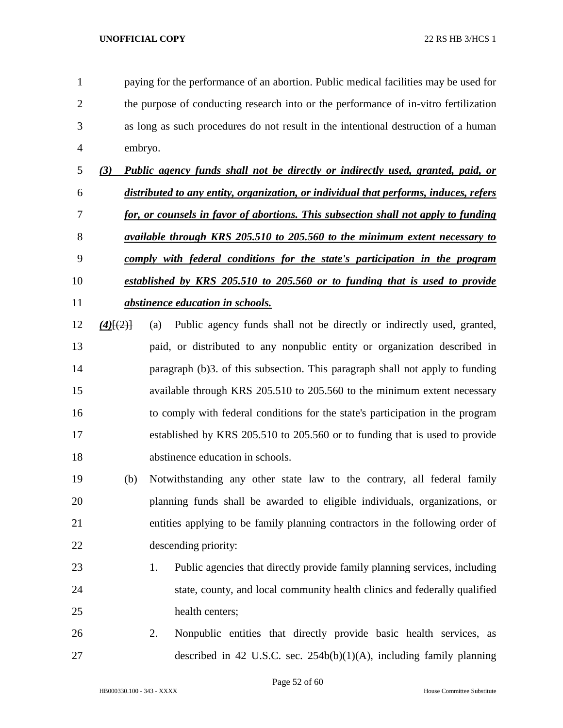paying for the performance of an abortion. Public medical facilities may be used for the purpose of conducting research into or the performance of in-vitro fertilization as long as such procedures do not result in the intentional destruction of a human embryo.

- *(3) Public agency funds shall not be directly or indirectly used, granted, paid, or distributed to any entity, organization, or individual that performs, induces, refers for, or counsels in favor of abortions. This subsection shall not apply to funding available through KRS 205.510 to 205.560 to the minimum extent necessary to comply with federal conditions for the state's participation in the program established by KRS 205.510 to 205.560 or to funding that is used to provide abstinence education in schools.*
- *(4)*[(2)] (a) Public agency funds shall not be directly or indirectly used, granted, paid, or distributed to any nonpublic entity or organization described in paragraph (b)3. of this subsection. This paragraph shall not apply to funding available through KRS 205.510 to 205.560 to the minimum extent necessary to comply with federal conditions for the state's participation in the program established by KRS 205.510 to 205.560 or to funding that is used to provide abstinence education in schools.
- (b) Notwithstanding any other state law to the contrary, all federal family planning funds shall be awarded to eligible individuals, organizations, or entities applying to be family planning contractors in the following order of descending priority:
- 1. Public agencies that directly provide family planning services, including state, county, and local community health clinics and federally qualified 25 health centers;
- 2. Nonpublic entities that directly provide basic health services, as described in 42 U.S.C. sec. 254b(b)(1)(A), including family planning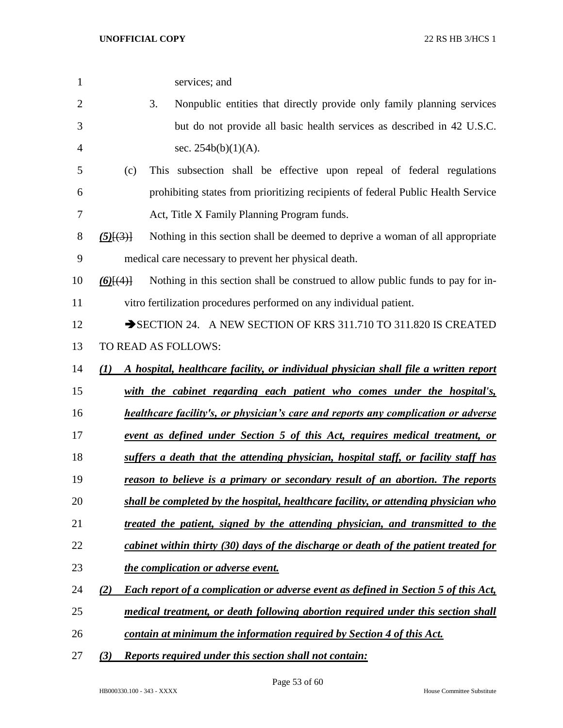| $\mathbf{1}$   |                 | services; and                                                                              |
|----------------|-----------------|--------------------------------------------------------------------------------------------|
| $\overline{2}$ |                 | 3.<br>Nonpublic entities that directly provide only family planning services               |
| 3              |                 | but do not provide all basic health services as described in 42 U.S.C.                     |
| $\overline{4}$ |                 | sec. $254b(b)(1)(A)$ .                                                                     |
| 5              | (c)             | This subsection shall be effective upon repeal of federal regulations                      |
| 6              |                 | prohibiting states from prioritizing recipients of federal Public Health Service           |
| 7              |                 | Act, Title X Family Planning Program funds.                                                |
| 8              | $(5)$ [ $(3)$ ] | Nothing in this section shall be deemed to deprive a woman of all appropriate              |
| 9              |                 | medical care necessary to prevent her physical death.                                      |
| 10             | $(6)$ [ $(4)$ ] | Nothing in this section shall be construed to allow public funds to pay for in-            |
| 11             |                 | vitro fertilization procedures performed on any individual patient.                        |
| 12             |                 | SECTION 24. A NEW SECTION OF KRS 311.710 TO 311.820 IS CREATED                             |
| 13             |                 | TO READ AS FOLLOWS:                                                                        |
| 14             | (I)             | A hospital, healthcare facility, or individual physician shall file a written report       |
| 15             |                 | with the cabinet regarding each patient who comes under the hospital's,                    |
| 16             |                 | healthcare facility's, or physician's care and reports any complication or adverse         |
| 17             |                 | event as defined under Section 5 of this Act, requires medical treatment, or               |
| 18             |                 | suffers a death that the attending physician, hospital staff, or facility staff has        |
| 19             |                 | reason to believe is a primary or secondary result of an abortion. The reports             |
| 20             |                 | shall be completed by the hospital, healthcare facility, or attending physician who        |
| 21             |                 | treated the patient, signed by the attending physician, and transmitted to the             |
| 22             |                 | cabinet within thirty (30) days of the discharge or death of the patient treated for       |
| 23             |                 | the complication or adverse event.                                                         |
| 24             | (2)             | <b>Each report of a complication or adverse event as defined in Section 5 of this Act,</b> |
| 25             |                 | medical treatment, or death following abortion required under this section shall           |
| 26             |                 | contain at minimum the information required by Section 4 of this Act.                      |
| 27             | (3)             | <b>Reports required under this section shall not contain:</b>                              |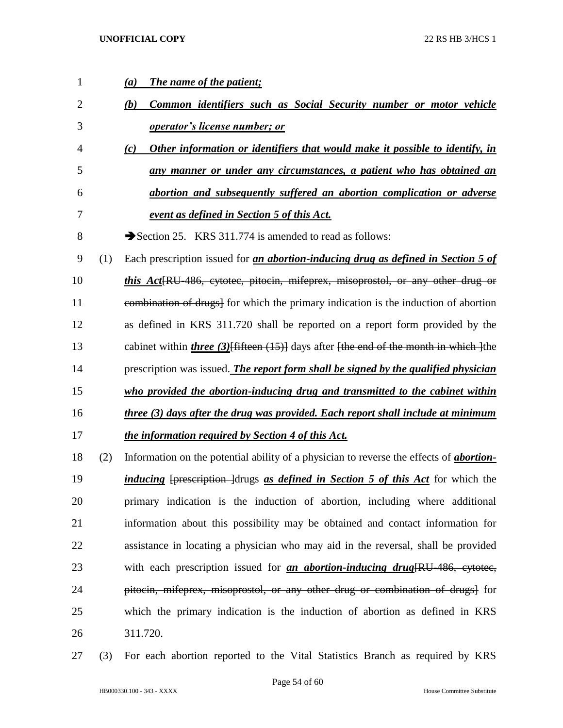| $\mathbf{1}$ |     | The name of the patient;<br>(a)                                                                     |
|--------------|-----|-----------------------------------------------------------------------------------------------------|
| 2            |     | Common identifiers such as Social Security number or motor vehicle<br>(b)                           |
| 3            |     | operator's license number; or                                                                       |
| 4            |     | Other information or identifiers that would make it possible to identify, in<br>(c)                 |
| 5            |     | any manner or under any circumstances, a patient who has obtained an                                |
| 6            |     | abortion and subsequently suffered an abortion complication or adverse                              |
| 7            |     | event as defined in Section 5 of this Act.                                                          |
| 8            |     | Section 25. KRS 311.774 is amended to read as follows:                                              |
| 9            | (1) | Each prescription issued for <i>an abortion-inducing drug as defined in Section 5 of</i>            |
| 10           |     | <i>this Act</i> [RU-486, cytotec, pitocin, mifeprex, misoprostol, or any other drug or              |
| 11           |     | eombination of drugs] for which the primary indication is the induction of abortion                 |
| 12           |     | as defined in KRS 311.720 shall be reported on a report form provided by the                        |
| 13           |     | cabinet within <i>three</i> $(3)$ {fifteen $(15)$ } days after {the end of the month in which } the |
|              |     |                                                                                                     |
| 14           |     | prescription was issued. The report form shall be signed by the qualified physician                 |
| 15           |     | who provided the abortion-inducing drug and transmitted to the cabinet within                       |
| 16           |     | three (3) days after the drug was provided. Each report shall include at minimum                    |
| 17           |     | the information required by Section 4 of this Act.                                                  |
| 18           | (2) | Information on the potential ability of a physician to reverse the effects of <i>abortion</i> -     |
| 19           |     | <i>inducing</i> [prescription ] drugs as defined in Section 5 of this Act for which the             |
| 20           |     | primary indication is the induction of abortion, including where additional                         |
| 21           |     | information about this possibility may be obtained and contact information for                      |
| 22           |     | assistance in locating a physician who may aid in the reversal, shall be provided                   |
| 23           |     | with each prescription issued for <i>an abortion-inducing drug</i> [RU-486, eytotec,                |
| 24           |     | pitocin, mifeprex, misoprostol, or any other drug or combination of drugs] for                      |
| 25           |     | which the primary indication is the induction of abortion as defined in KRS                         |

(3) For each abortion reported to the Vital Statistics Branch as required by KRS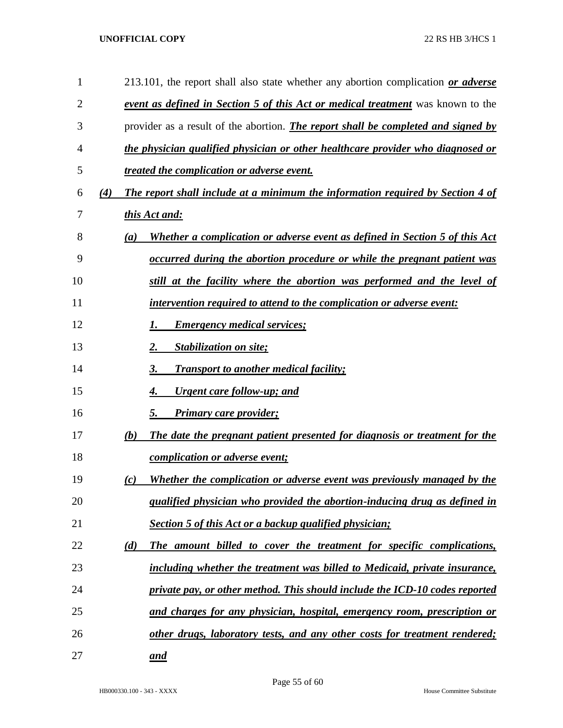| 1  |     | 213.101, the report shall also state whether any abortion complication or adverse        |
|----|-----|------------------------------------------------------------------------------------------|
| 2  |     | <b>event as defined in Section 5 of this Act or medical treatment</b> was known to the   |
| 3  |     | provider as a result of the abortion. <i>The report shall be completed and signed by</i> |
| 4  |     | the physician qualified physician or other healthcare provider who diagnosed or          |
| 5  |     | treated the complication or adverse event.                                               |
| 6  | (4) | The report shall include at a minimum the information required by Section 4 of           |
| 7  |     | this Act and:                                                                            |
| 8  |     | Whether a complication or adverse event as defined in Section 5 of this Act<br>(a)       |
| 9  |     | occurred during the abortion procedure or while the pregnant patient was                 |
| 10 |     | still at the facility where the abortion was performed and the level of                  |
| 11 |     | intervention required to attend to the complication or adverse event:                    |
| 12 |     | <b>Emergency medical services;</b>                                                       |
| 13 |     | Stabilization on site;<br>2.                                                             |
| 14 |     | <b>Transport to another medical facility;</b><br>3.                                      |
| 15 |     | Urgent care follow-up; and<br>4.                                                         |
| 16 |     | <b>Primary care provider;</b><br>5.                                                      |
| 17 |     | (b)<br>The date the pregnant patient presented for diagnosis or treatment for the        |
| 18 |     | <i>complication or adverse event;</i>                                                    |
| 19 |     | Whether the complication or adverse event was previously managed by the<br>(c)           |
| 20 |     | qualified physician who provided the abortion-inducing drug as defined in                |
| 21 |     | <b>Section 5 of this Act or a backup qualified physician;</b>                            |
| 22 |     | (d)<br>The amount billed to cover the treatment for specific complications,              |
| 23 |     | including whether the treatment was billed to Medicaid, private insurance,               |
| 24 |     | private pay, or other method. This should include the ICD-10 codes reported              |
| 25 |     | and charges for any physician, hospital, emergency room, prescription or                 |
| 26 |     | other drugs, laboratory tests, and any other costs for treatment rendered;               |
| 27 |     | and                                                                                      |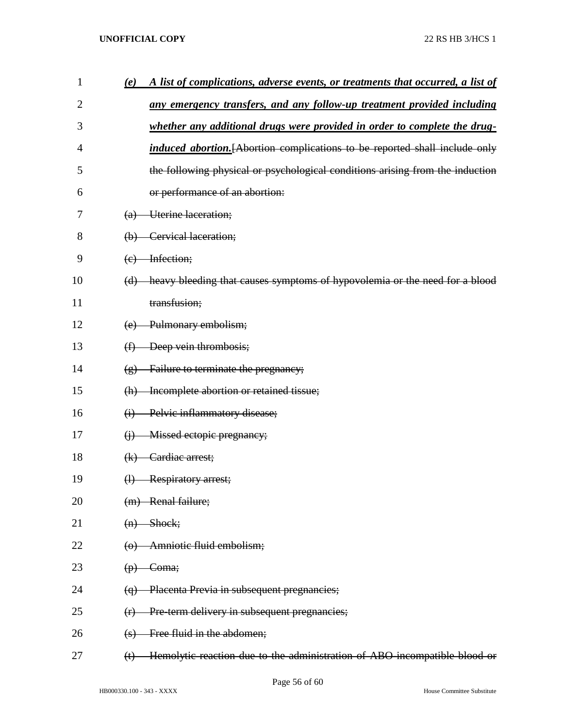| 1              | (e)<br>A list of complications, adverse events, or treatments that occurred, a list of                 |
|----------------|--------------------------------------------------------------------------------------------------------|
| $\overline{2}$ | any emergency transfers, and any follow-up treatment provided including                                |
| 3              | whether any additional drugs were provided in order to complete the drug-                              |
| 4              | <i>induced abortion.</i> [Abortion complications to be reported shall include only                     |
| 5              | the following physical or psychological conditions arising from the induction                          |
| 6              | or performance of an abortion:                                                                         |
| 7              | (a) Uterine laceration;                                                                                |
| 8              | (b) Cervical laceration;                                                                               |
| 9              | (c) Infection;                                                                                         |
| 10             | (d) heavy bleeding that causes symptoms of hypovolemia or the need for a blood                         |
| 11             | transfusion;                                                                                           |
| 12             | (e) Pulmonary embolism;                                                                                |
| 13             | $(f)$ Deep vein thrombosis;                                                                            |
| 14             | $(g)$ Failure to terminate the pregnancy;                                                              |
| 15             | (h) Incomplete abortion or retained tissue;                                                            |
| 16             | Pelvic inflammatory disease;<br>$\ddot{\theta}$                                                        |
| 17             | Missed ectopic pregnancy;<br>$\Theta$                                                                  |
| 18             | $(k)$ Cardiac arrest;                                                                                  |
| 19             | (1) Respiratory arrest;                                                                                |
| 20             | (m) Renal failure;                                                                                     |
| 21             | Shock;<br>$\left( n\right)$                                                                            |
| 22             | Amniotic fluid embolism;<br>$\Theta$                                                                   |
| 23             | Coma;<br>$\left(\mathbf{p}\right)$                                                                     |
| 24             | Placenta Previa in subsequent pregnancies;<br>$\left(\theta\right)$                                    |
| 25             | Pre-term delivery in subsequent pregnancies;<br>(r)                                                    |
| 26             | Free fluid in the abdomen;<br>$\leftrightarrow$                                                        |
| 27             | Hemolytic reaction due to the administration of ABO-incompatible blood or<br>$\left(\mathbf{t}\right)$ |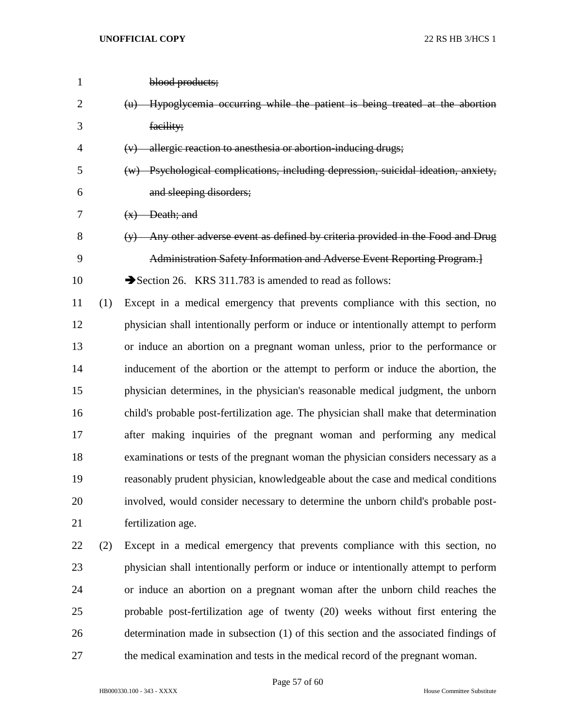| $\mathbf{1}$   |     | blood products;                                                                      |
|----------------|-----|--------------------------------------------------------------------------------------|
| $\overline{2}$ |     | (u) Hypoglycemia occurring while the patient is being treated at the abortion        |
| 3              |     | facility;                                                                            |
| 4              |     | (v) allergic reaction to anesthesia or abortion-inducing drugs;                      |
| 5              |     | (w) Psychological complications, including depression, suicidal ideation, anxiety,   |
| 6              |     | and sleeping disorders;                                                              |
| 7              |     | $(x)$ Death; and                                                                     |
| 8              |     | $(y)$ Any other adverse event as defined by criteria provided in the Food and Drug   |
| 9              |     | Administration Safety Information and Adverse Event Reporting Program.]              |
| 10             |     | Section 26. KRS 311.783 is amended to read as follows:                               |
| 11             | (1) | Except in a medical emergency that prevents compliance with this section, no         |
| 12             |     | physician shall intentionally perform or induce or intentionally attempt to perform  |
| 13             |     | or induce an abortion on a pregnant woman unless, prior to the performance or        |
| 14             |     | inducement of the abortion or the attempt to perform or induce the abortion, the     |
| 15             |     | physician determines, in the physician's reasonable medical judgment, the unborn     |
| 16             |     | child's probable post-fertilization age. The physician shall make that determination |
| 17             |     | after making inquiries of the pregnant woman and performing any medical              |
| 18             |     | examinations or tests of the pregnant woman the physician considers necessary as a   |
| 19             |     | reasonably prudent physician, knowledgeable about the case and medical conditions    |
| 20             |     | involved, would consider necessary to determine the unborn child's probable post-    |
| 21             |     | fertilization age.                                                                   |
| 22             | (2) | Except in a medical emergency that prevents compliance with this section, no         |
| 23             |     | physician shall intentionally perform or induce or intentionally attempt to perform  |
| 24             |     | or induce an abortion on a pregnant woman after the unborn child reaches the         |
| 25             |     | probable post-fertilization age of twenty (20) weeks without first entering the      |
| 26             |     | determination made in subsection (1) of this section and the associated findings of  |
| 27             |     | the medical examination and tests in the medical record of the pregnant woman.       |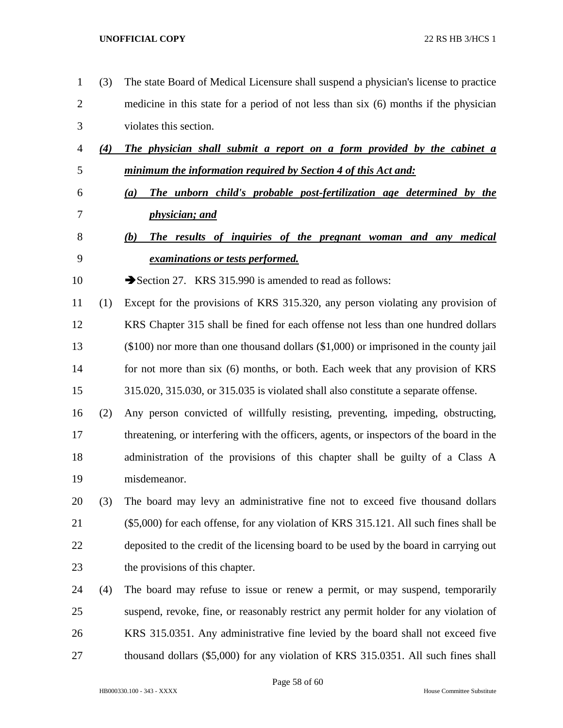(3) The state Board of Medical Licensure shall suspend a physician's license to practice medicine in this state for a period of not less than six (6) months if the physician violates this section. *(4) The physician shall submit a report on a form provided by the cabinet a minimum the information required by Section 4 of this Act and: (a) The unborn child's probable post-fertilization age determined by the physician; and (b) The results of inquiries of the pregnant woman and any medical examinations or tests performed.* 10 Section 27. KRS 315.990 is amended to read as follows: (1) Except for the provisions of KRS 315.320, any person violating any provision of KRS Chapter 315 shall be fined for each offense not less than one hundred dollars (\$100) nor more than one thousand dollars (\$1,000) or imprisoned in the county jail 14 for not more than six (6) months, or both. Each week that any provision of KRS 315.020, 315.030, or 315.035 is violated shall also constitute a separate offense. (2) Any person convicted of willfully resisting, preventing, impeding, obstructing, threatening, or interfering with the officers, agents, or inspectors of the board in the administration of the provisions of this chapter shall be guilty of a Class A misdemeanor. (3) The board may levy an administrative fine not to exceed five thousand dollars (\$5,000) for each offense, for any violation of KRS 315.121. All such fines shall be deposited to the credit of the licensing board to be used by the board in carrying out the provisions of this chapter. (4) The board may refuse to issue or renew a permit, or may suspend, temporarily suspend, revoke, fine, or reasonably restrict any permit holder for any violation of KRS 315.0351. Any administrative fine levied by the board shall not exceed five thousand dollars (\$5,000) for any violation of KRS 315.0351. All such fines shall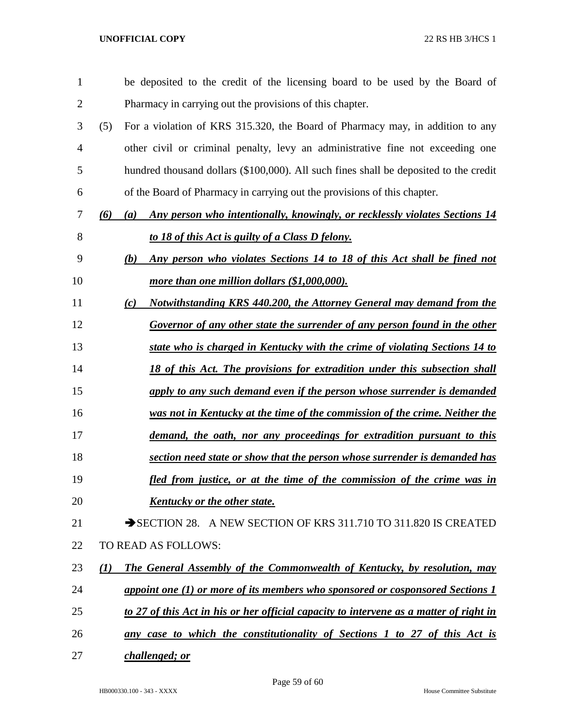| $\mathbf{1}$ | be deposited to the credit of the licensing board to be used by the Board of                 |
|--------------|----------------------------------------------------------------------------------------------|
| 2            | Pharmacy in carrying out the provisions of this chapter.                                     |
| 3            | For a violation of KRS 315.320, the Board of Pharmacy may, in addition to any<br>(5)         |
| 4            | other civil or criminal penalty, levy an administrative fine not exceeding one               |
| 5            | hundred thousand dollars (\$100,000). All such fines shall be deposited to the credit        |
| 6            | of the Board of Pharmacy in carrying out the provisions of this chapter.                     |
| 7            | Any person who intentionally, knowingly, or recklessly violates Sections 14<br>(6)<br>(a)    |
| 8            | to 18 of this Act is guilty of a Class D felony.                                             |
| 9            | Any person who violates Sections 14 to 18 of this Act shall be fined not<br>(b)              |
| 10           | more than one million dollars (\$1,000,000).                                                 |
| 11           | Notwithstanding KRS 440.200, the Attorney General may demand from the<br>(c)                 |
| 12           | Governor of any other state the surrender of any person found in the other                   |
| 13           | state who is charged in Kentucky with the crime of violating Sections 14 to                  |
| 14           | 18 of this Act. The provisions for extradition under this subsection shall                   |
| 15           | apply to any such demand even if the person whose surrender is demanded                      |
| 16           | was not in Kentucky at the time of the commission of the crime. Neither the                  |
| 17           | demand, the oath, nor any proceedings for extradition pursuant to this                       |
| 18           | section need state or show that the person whose surrender is demanded has                   |
| 19           | fled from justice, or at the time of the commission of the crime was in                      |
| 20           | <b>Kentucky or the other state.</b>                                                          |
| 21           | SECTION 28. A NEW SECTION OF KRS 311.710 TO 311.820 IS CREATED                               |
| 22           | TO READ AS FOLLOWS:                                                                          |
| 23           | The General Assembly of the Commonwealth of Kentucky, by resolution, may<br>$\mathcal{L}(I)$ |
| 24           | appoint one (1) or more of its members who sponsored or cosponsored Sections 1               |
| 25           | to 27 of this Act in his or her official capacity to intervene as a matter of right in       |
| 26           | any case to which the constitutionality of Sections 1 to 27 of this Act is                   |
| 27           | challenged; or                                                                               |